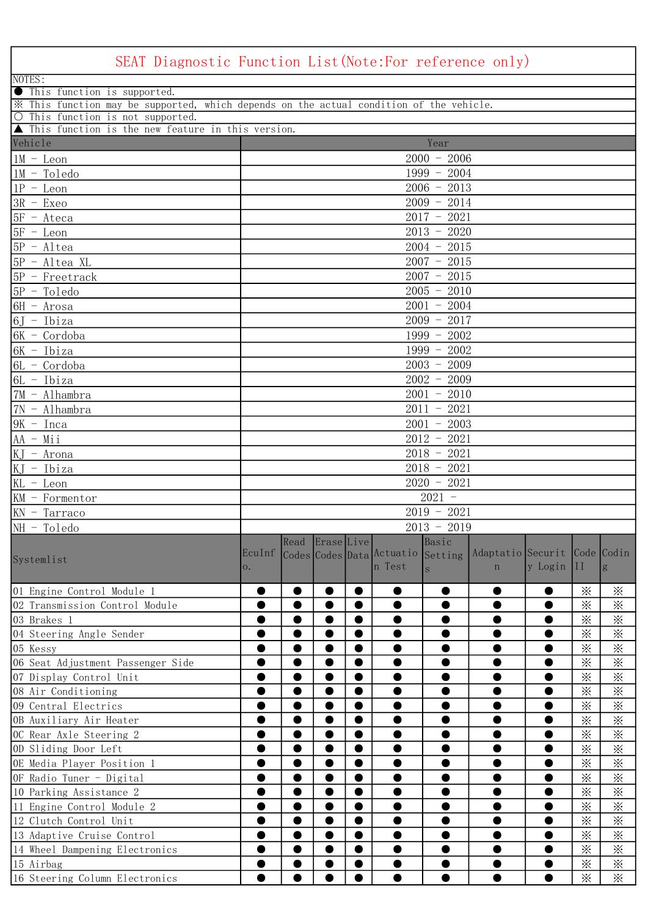| SEAT Diagnostic Function List(Note:For reference only)                                  |        |           |                 |           |                           |                          |                              |           |                |              |
|-----------------------------------------------------------------------------------------|--------|-----------|-----------------|-----------|---------------------------|--------------------------|------------------------------|-----------|----------------|--------------|
| NOTES:                                                                                  |        |           |                 |           |                           |                          |                              |           |                |              |
| <b>In This function is supported.</b>                                                   |        |           |                 |           |                           |                          |                              |           |                |              |
| X This function may be supported, which depends on the actual condition of the vehicle. |        |           |                 |           |                           |                          |                              |           |                |              |
| O This function is not supported.                                                       |        |           |                 |           |                           |                          |                              |           |                |              |
| ▲ This function is the new feature in this version.<br>Vehicle                          |        |           |                 |           |                           |                          |                              |           |                |              |
|                                                                                         |        |           |                 |           |                           | Year                     |                              |           |                |              |
| $1M - Leon$                                                                             |        |           |                 |           |                           | $2000 - 2006$            |                              |           |                |              |
| $1M - T$ oledo                                                                          |        |           |                 |           |                           | $1999 - 2004$            |                              |           |                |              |
| $1P - Leon$                                                                             |        |           |                 |           |                           | $2006 - 2013$            |                              |           |                |              |
| $3R - Exeo$                                                                             |        |           |                 |           |                           | $2009 - 2014$            |                              |           |                |              |
| $5F - Ateca$                                                                            |        |           |                 |           |                           | $2017 - 2021$            |                              |           |                |              |
| $5F - Leon$                                                                             |        |           |                 |           |                           | $2013 - 2020$            |                              |           |                |              |
| $5P - Altea$                                                                            |        |           |                 |           |                           | $2004 - 2015$            |                              |           |                |              |
| $5P - Altea XL$                                                                         |        |           |                 |           |                           | $2007 - 2015$            |                              |           |                |              |
| $5P$ - Freetrack                                                                        |        |           |                 |           |                           | $2007 - 2015$            |                              |           |                |              |
| $5P - Toledo$                                                                           |        |           |                 |           |                           | $2005 - 2010$            |                              |           |                |              |
| $6H - Arosa$                                                                            |        |           |                 |           |                           | $2001 - 2004$            |                              |           |                |              |
| $6J$ - Ibiza                                                                            |        |           |                 |           |                           | $2009 - 2017$            |                              |           |                |              |
| $6K - Cordoba$                                                                          |        |           |                 |           |                           | $1999 - 2002$            |                              |           |                |              |
| $6K$ - Ibiza                                                                            |        |           |                 |           |                           | $1999 - 2002$            |                              |           |                |              |
| $6L - Cordoba$                                                                          |        |           |                 |           |                           | $2003 - 2009$            |                              |           |                |              |
| $6L - Ibiza$                                                                            |        |           |                 |           |                           | $2002 - 2009$            |                              |           |                |              |
| 7M - Alhambra                                                                           |        |           |                 |           |                           | $\overline{2001}$ - 2010 |                              |           |                |              |
| 7N - Alhambra                                                                           |        |           |                 |           |                           | $2011 - 2021$            |                              |           |                |              |
| $9K$ - Inca                                                                             |        |           |                 |           |                           | $2001 - 2003$            |                              |           |                |              |
| $AA - Mi$                                                                               |        |           |                 |           |                           | $2012 - 2021$            |                              |           |                |              |
| $KJ - Arona$                                                                            |        |           |                 |           |                           | $2018 - 2021$            |                              |           |                |              |
| $KJ$ - Ibiza                                                                            |        |           |                 |           |                           | $2018 - 2021$            |                              |           |                |              |
| KL - Leon                                                                               |        |           |                 |           |                           | $2020 - 2021$            |                              |           |                |              |
| $KM$ - Formentor                                                                        |        |           |                 |           |                           | $2021 -$                 |                              |           |                |              |
| $KN$ - Tarraco                                                                          |        |           |                 |           |                           | $2019 - 2021$            |                              |           |                |              |
| $NH - Toledo$                                                                           |        |           |                 |           |                           | $2013 - 2019$            |                              |           |                |              |
|                                                                                         |        |           | Read Erase Live |           |                           | Basic                    |                              |           |                |              |
| Systemlist                                                                              | EcuInf |           |                 |           | Codes Codes Data Actuatio | Setting                  | Adaptatio Securit Code Codin |           |                |              |
|                                                                                         | 0.     |           |                 |           | n Test                    | S                        | $\mathbf n$                  | y Login   | II             | g            |
| 01 Engine Control Module 1                                                              | 0      | $\bullet$ | $\bullet$       | $\bullet$ |                           |                          |                              |           | $\times$       | $\mathbb{X}$ |
| 02 Transmission Control Module                                                          |        | $\bullet$ | $\bullet$       | $\bullet$ |                           |                          |                              | 0         | $\times$       | $\times$     |
| 03 Brakes 1                                                                             |        | 0         |                 | $\bullet$ |                           |                          |                              |           | $\times$       | $\times$     |
| 04 Steering Angle Sender                                                                |        | 0         | $\bullet$       | $\bullet$ |                           |                          |                              |           | $\times$       | $\times$     |
| 05 Kessy                                                                                | ●      | $\bullet$ | $\bullet$       | $\bullet$ | ●                         | 0                        | 0                            | $\bullet$ | $\times$       | $\times$     |
| 06 Seat Adjustment Passenger Side                                                       | ●      | $\bullet$ | $\bullet$       | $\bullet$ |                           |                          |                              |           | $\times$       | $\times$     |
| 07 Display Control Unit                                                                 |        | $\bullet$ | $\bullet$       | $\bullet$ |                           |                          |                              |           | $\times$       | $\times$     |
| 08 Air Conditioning                                                                     |        | 0         |                 | $\bullet$ |                           |                          |                              |           | $\times$       | $\times$     |
| 09 Central Electrics                                                                    |        | 0         | $\bullet$       | $\bullet$ |                           |                          |                              |           | $\times$       | $\times$     |
| OB Auxiliary Air Heater                                                                 | ●      | $\bullet$ | $\bullet$       | $\bullet$ | ●                         |                          |                              |           | $\times$       | $\times$     |
| OC Rear Axle Steering 2                                                                 | ●      | $\bullet$ | $\bullet$       | $\bullet$ |                           |                          |                              |           | $\dot{\times}$ | $\times$     |
| OD Sliding Door Left                                                                    | ●      | $\bullet$ | $\bullet$       | $\bullet$ | ●                         |                          | O                            | 0         | $\times$       | $\times$     |
| OE Media Player Position 1                                                              |        | 0         |                 | $\bullet$ |                           |                          |                              |           | $\times$       | $\times$     |
| OF Radio Tuner - Digital                                                                |        | $\bullet$ | $\bullet$       | $\bullet$ |                           |                          | $\bullet$                    | 0         | $\times$       | $\times$     |
| 10 Parking Assistance 2                                                                 | ●      | $\bullet$ | $\bullet$       | $\bullet$ | ●                         | ●                        |                              | O         | $\times$       | $\times$     |
| 11 Engine Control Module 2                                                              | ●      | $\bullet$ | $\bullet$       | $\bullet$ |                           |                          |                              |           | $\dot{\times}$ | $\times$     |
| 12 Clutch Control Unit                                                                  |        | $\bullet$ | $\bullet$       | $\bullet$ |                           |                          |                              |           | $\times$       | $\times$     |
| 13 Adaptive Cruise Control                                                              |        | $\bullet$ |                 |           |                           |                          |                              |           | $\times$       | $\times$     |
| 14 Wheel Dampening Electronics                                                          |        | $\bullet$ | $\bullet$       | $\bullet$ |                           |                          |                              |           | $\times$       | $\times$     |
| 15 Airbag                                                                               | 0      | $\bullet$ | $\bullet$       |           | $\bullet$                 | 0                        |                              | 0         | $\times$       | $\times$     |
| 16 Steering Column Electronics                                                          |        |           |                 |           |                           |                          |                              |           | $\times$       | $\mathbb{X}$ |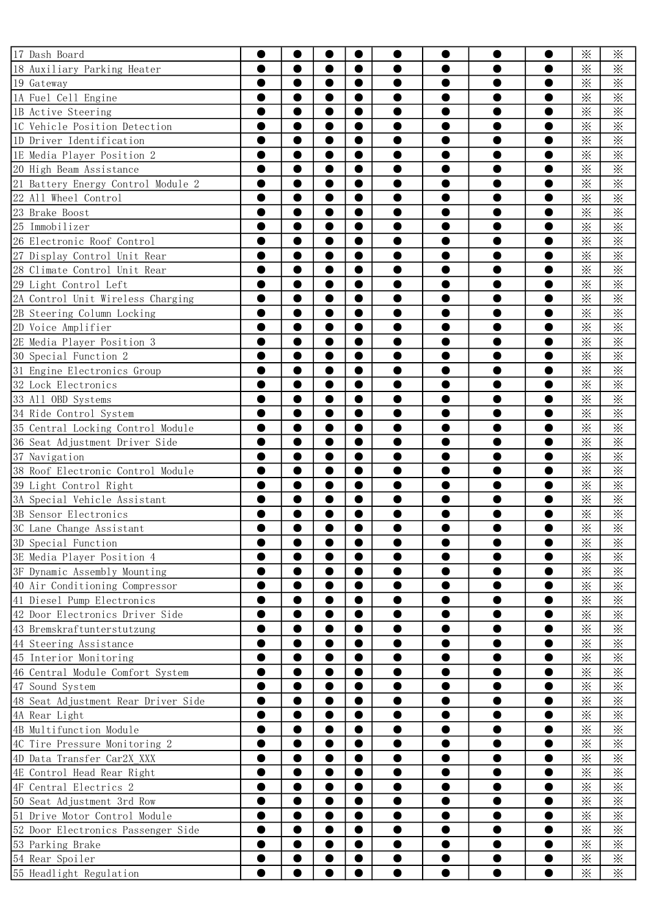| 17 Dash Board                       |           |           |           | 0                                                                                                                                                                                                                                                                                        |                                                                                                                                                                                                                                                                                                                                                                                                                                                                                                |           |          |           | $\times$ | ፠                      |
|-------------------------------------|-----------|-----------|-----------|------------------------------------------------------------------------------------------------------------------------------------------------------------------------------------------------------------------------------------------------------------------------------------------|------------------------------------------------------------------------------------------------------------------------------------------------------------------------------------------------------------------------------------------------------------------------------------------------------------------------------------------------------------------------------------------------------------------------------------------------------------------------------------------------|-----------|----------|-----------|----------|------------------------|
| 18 Auxiliary Parking Heater         | ●         | $\bullet$ | O         | $\bullet$                                                                                                                                                                                                                                                                                | 0                                                                                                                                                                                                                                                                                                                                                                                                                                                                                              | 0         | 0        | ●         | $\times$ | $\times$               |
| 19 Gateway                          |           | $\bullet$ | O         | $\bullet$                                                                                                                                                                                                                                                                                | ●                                                                                                                                                                                                                                                                                                                                                                                                                                                                                              | ●         | ●        |           | $\times$ | $\times$               |
| 1A Fuel Cell Engine                 |           |           | ●         | $\bullet$                                                                                                                                                                                                                                                                                |                                                                                                                                                                                                                                                                                                                                                                                                                                                                                                |           |          |           | $\times$ | $\times$               |
| 1B Active Steering                  |           |           |           | $\bullet$                                                                                                                                                                                                                                                                                |                                                                                                                                                                                                                                                                                                                                                                                                                                                                                                |           |          |           | $\times$ | $\times$               |
| IC Vehicle Position Detection       |           |           | O         | 0                                                                                                                                                                                                                                                                                        |                                                                                                                                                                                                                                                                                                                                                                                                                                                                                                |           |          |           | $\times$ | ⋇                      |
| 1D Driver Identification            | 0         | $\bullet$ | 0         | $\bullet$                                                                                                                                                                                                                                                                                | 0                                                                                                                                                                                                                                                                                                                                                                                                                                                                                              | 0         | 0        | ●         | $\times$ | $\times$               |
| 1E Media Player Position 2          | ●         | ●         | 0         | $\bullet$                                                                                                                                                                                                                                                                                | ●                                                                                                                                                                                                                                                                                                                                                                                                                                                                                              | ●         | ●        |           | $\times$ | $\times$               |
| 20 High Beam Assistance             |           |           | ●         | $\bullet$                                                                                                                                                                                                                                                                                |                                                                                                                                                                                                                                                                                                                                                                                                                                                                                                |           |          |           | $\times$ | $\times$               |
| 21 Battery Energy Control Module 2  |           |           |           | $\bullet$                                                                                                                                                                                                                                                                                |                                                                                                                                                                                                                                                                                                                                                                                                                                                                                                |           |          |           | $\times$ | $\times$               |
| 22 All Wheel Control                |           |           |           | 0                                                                                                                                                                                                                                                                                        |                                                                                                                                                                                                                                                                                                                                                                                                                                                                                                |           |          |           | $\times$ | $\times$               |
| 23 Brake Boost                      | 8         | $\bullet$ | 0         | $\bullet$                                                                                                                                                                                                                                                                                | ●                                                                                                                                                                                                                                                                                                                                                                                                                                                                                              | 0         | ●        | ●         | $\times$ | $\times$               |
| 25 Immobilizer                      | ●         | $\bullet$ | O         | $\bullet$                                                                                                                                                                                                                                                                                | ●                                                                                                                                                                                                                                                                                                                                                                                                                                                                                              | ●         | ●        |           | $\times$ | $\times$               |
| 26 Electronic Roof Control          |           |           | ●         | $\bullet$                                                                                                                                                                                                                                                                                |                                                                                                                                                                                                                                                                                                                                                                                                                                                                                                |           |          |           | $\times$ | $\times$               |
| 27 Display Control Unit Rear        |           |           |           | $\bullet$                                                                                                                                                                                                                                                                                |                                                                                                                                                                                                                                                                                                                                                                                                                                                                                                |           |          |           | $\times$ | $\times$               |
| 28 Climate Control Unit Rear        |           |           | O         | 0                                                                                                                                                                                                                                                                                        |                                                                                                                                                                                                                                                                                                                                                                                                                                                                                                |           |          |           | $\times$ | $\ddot{\times}$        |
| 29 Light Control Left               | $\bullet$ | $\bullet$ | $\bullet$ | $\bullet$                                                                                                                                                                                                                                                                                | ●                                                                                                                                                                                                                                                                                                                                                                                                                                                                                              | ●         | ●        | $\bullet$ | $\times$ | $\overline{\varkappa}$ |
| 2A Control Unit Wireless Charging   | ●         | $\bullet$ | 0         | $\bullet$                                                                                                                                                                                                                                                                                | ●                                                                                                                                                                                                                                                                                                                                                                                                                                                                                              | ●         | ●        |           | $\times$ | $\times$               |
| 2B Steering Column Locking          |           |           |           | $\bullet$                                                                                                                                                                                                                                                                                |                                                                                                                                                                                                                                                                                                                                                                                                                                                                                                |           |          |           | $\times$ | $\times$               |
| 2D Voice Amplifier                  |           |           |           | $\bullet$                                                                                                                                                                                                                                                                                |                                                                                                                                                                                                                                                                                                                                                                                                                                                                                                |           |          |           | $\times$ | $\times$               |
| 2E Media Player Position 3          |           |           |           | 0                                                                                                                                                                                                                                                                                        |                                                                                                                                                                                                                                                                                                                                                                                                                                                                                                |           |          |           | $\times$ | $\times$               |
| 30 Special Function 2               | 0         | $\bullet$ | 0         | $\bullet$                                                                                                                                                                                                                                                                                | ●                                                                                                                                                                                                                                                                                                                                                                                                                                                                                              | 0         | ●        | ●         | $\times$ | $\times$               |
| 31 Engine Electronics Group         | ●         | $\bullet$ | O         | $\bullet$                                                                                                                                                                                                                                                                                | ●                                                                                                                                                                                                                                                                                                                                                                                                                                                                                              | $\bullet$ | ●        |           | $\times$ | $\times$               |
| 32 Lock Electronics                 |           |           | ●         | $\bullet$                                                                                                                                                                                                                                                                                |                                                                                                                                                                                                                                                                                                                                                                                                                                                                                                |           |          |           | $\times$ | $\times$               |
| 33 All OBD Systems                  |           |           |           | $\bullet$                                                                                                                                                                                                                                                                                |                                                                                                                                                                                                                                                                                                                                                                                                                                                                                                |           |          |           | $\times$ | $\times$               |
| 34 Ride Control System              |           |           | 0         | $\bullet$                                                                                                                                                                                                                                                                                |                                                                                                                                                                                                                                                                                                                                                                                                                                                                                                |           |          |           | $\times$ | $\times$               |
| 35 Central Locking Control Module   | 0         | $\bullet$ | 0         | $\bullet$                                                                                                                                                                                                                                                                                | ●                                                                                                                                                                                                                                                                                                                                                                                                                                                                                              | ●         | ●        | ●         | $\times$ | $\times$               |
| 36 Seat Adjustment Driver Side      | ●         | $\bullet$ | 0         | $\bullet$                                                                                                                                                                                                                                                                                | ●                                                                                                                                                                                                                                                                                                                                                                                                                                                                                              | ●         | ●        |           | $\times$ | $\times$               |
| 37 Navigation                       |           |           |           | $\bullet$                                                                                                                                                                                                                                                                                |                                                                                                                                                                                                                                                                                                                                                                                                                                                                                                |           |          |           | $\times$ | $\times$               |
| 38 Roof Electronic Control Module   |           |           |           | $\bullet$                                                                                                                                                                                                                                                                                |                                                                                                                                                                                                                                                                                                                                                                                                                                                                                                |           |          |           | $\times$ | $\times$               |
| 39 Light Control Right              |           |           | O         | $\bullet$                                                                                                                                                                                                                                                                                |                                                                                                                                                                                                                                                                                                                                                                                                                                                                                                |           |          |           | $\times$ | $\times$               |
| 3A Special Vehicle Assistant        | 8         | $\bullet$ | O         | $\bullet$                                                                                                                                                                                                                                                                                | e                                                                                                                                                                                                                                                                                                                                                                                                                                                                                              | ●         | 0        |           | $\times$ | $\times$               |
| 3B Sensor Electronics               |           |           |           |                                                                                                                                                                                                                                                                                          |                                                                                                                                                                                                                                                                                                                                                                                                                                                                                                |           |          |           | $\times$ | $\times$               |
| 3C Lane Change Assistant            |           |           |           |                                                                                                                                                                                                                                                                                          |                                                                                                                                                                                                                                                                                                                                                                                                                                                                                                |           |          |           | $\times$ | $\times$               |
| 3D Special Function                 |           |           |           | $\bullet$                                                                                                                                                                                                                                                                                | $\times$<br>$\times$<br>$\times$<br>●<br>●<br>●<br>$\times$<br>●<br>●<br>●<br>$\times$<br>0<br>●<br>$\times$<br>$\times$<br>●<br>$\bullet$<br>$\times$<br>$\bullet$<br>●<br>●<br>●<br>$\times$<br>●<br>●<br>$\times$<br>$\times$<br>$\times$<br>$\bullet$<br>$\times$<br>●<br>●<br>0<br>$\times$<br>$\bullet$<br>●<br>●<br>$\times$<br>0<br>●<br>$\times$<br>$\times$<br>0<br>0<br>$\bullet$<br>$\times$<br>●<br>●<br>●<br>●<br>$\times$<br>$\times$<br>$\times$<br>$\times$<br>●<br>$\bullet$ |           |          |           |          |                        |
| 3E Media Player Position 4          |           |           | 0         | 0                                                                                                                                                                                                                                                                                        |                                                                                                                                                                                                                                                                                                                                                                                                                                                                                                |           |          |           |          |                        |
| 3F Dynamic Assembly Mounting        |           | $\bullet$ | $\bullet$ | $\bullet$<br>$\bullet$<br>$\bullet$<br>$\bullet$<br>0<br>$\bullet$<br>$\bullet$<br>$\bullet$<br>$\bullet$<br>0<br>$\bullet$<br>$\bullet$<br>$\bullet$<br>$\bullet$<br>0<br>$\bullet$<br>$\bullet$<br>$\bullet$<br>$\bullet$<br>0<br>$\times$<br>$\bullet$<br>$\bullet$<br>0<br>$\bullet$ |                                                                                                                                                                                                                                                                                                                                                                                                                                                                                                |           |          |           |          |                        |
| 40 Air Conditioning Compressor      | ●         | $\bullet$ | $\bullet$ |                                                                                                                                                                                                                                                                                          | $\times$<br>$\times$<br>$\times$<br>$\times$<br>$\times$<br>$\times$<br>$\times$<br>$\times$<br>$\times$<br>$\times$<br>$\times$<br>$\times$<br>$\times$<br>$\times$<br>$\times$<br>$\times$<br>$\times$<br>$\times$<br>$\times$<br>$\times$<br>$\times$<br>$\times$                                                                                                                                                                                                                           |           |          |           |          |                        |
| 41 Diesel Pump Electronics          |           | 0         | 0         |                                                                                                                                                                                                                                                                                          | ⋇                                                                                                                                                                                                                                                                                                                                                                                                                                                                                              |           |          |           |          |                        |
| 42 Door Electronics Driver Side     |           | $\bullet$ |           |                                                                                                                                                                                                                                                                                          |                                                                                                                                                                                                                                                                                                                                                                                                                                                                                                |           |          |           |          |                        |
| 43 Bremskraftunterstutzung          |           | 0         | 0         |                                                                                                                                                                                                                                                                                          |                                                                                                                                                                                                                                                                                                                                                                                                                                                                                                |           |          |           |          |                        |
| 44 Steering Assistance              | ●         | $\bullet$ | $\bullet$ |                                                                                                                                                                                                                                                                                          |                                                                                                                                                                                                                                                                                                                                                                                                                                                                                                |           |          |           |          |                        |
| 45 Interior Monitoring              | ●         | $\bullet$ | $\bullet$ |                                                                                                                                                                                                                                                                                          |                                                                                                                                                                                                                                                                                                                                                                                                                                                                                                |           |          |           |          |                        |
| 46 Central Module Comfort System    |           | 0         | 0         |                                                                                                                                                                                                                                                                                          |                                                                                                                                                                                                                                                                                                                                                                                                                                                                                                |           |          |           |          |                        |
| 47 Sound System                     |           |           |           |                                                                                                                                                                                                                                                                                          |                                                                                                                                                                                                                                                                                                                                                                                                                                                                                                |           |          |           |          |                        |
| 48 Seat Adjustment Rear Driver Side |           | 0         | 0         |                                                                                                                                                                                                                                                                                          |                                                                                                                                                                                                                                                                                                                                                                                                                                                                                                |           |          |           |          |                        |
| 4A Rear Light                       | D         | $\bullet$ | $\bullet$ |                                                                                                                                                                                                                                                                                          |                                                                                                                                                                                                                                                                                                                                                                                                                                                                                                |           |          |           |          |                        |
| 4B Multifunction Module             | ●         | ●         | $\bullet$ |                                                                                                                                                                                                                                                                                          |                                                                                                                                                                                                                                                                                                                                                                                                                                                                                                |           |          |           |          |                        |
| 4C Tire Pressure Monitoring 2       |           | 0         | 0         |                                                                                                                                                                                                                                                                                          |                                                                                                                                                                                                                                                                                                                                                                                                                                                                                                |           |          |           |          |                        |
| 4D Data Transfer Car2X XXX          |           |           |           |                                                                                                                                                                                                                                                                                          |                                                                                                                                                                                                                                                                                                                                                                                                                                                                                                |           |          |           |          |                        |
| 4E Control Head Rear Right          |           |           | 0         |                                                                                                                                                                                                                                                                                          |                                                                                                                                                                                                                                                                                                                                                                                                                                                                                                |           |          |           |          |                        |
| 4F Central Electrics 2              | 0         | $\bullet$ | $\bullet$ |                                                                                                                                                                                                                                                                                          |                                                                                                                                                                                                                                                                                                                                                                                                                                                                                                |           |          |           |          |                        |
| 50 Seat Adjustment 3rd Row          |           | $\bullet$ | $\bullet$ |                                                                                                                                                                                                                                                                                          |                                                                                                                                                                                                                                                                                                                                                                                                                                                                                                |           |          |           |          |                        |
| 51 Drive Motor Control Module       |           | 0         | 0         |                                                                                                                                                                                                                                                                                          |                                                                                                                                                                                                                                                                                                                                                                                                                                                                                                |           |          |           |          |                        |
| 52 Door Electronics Passenger Side  |           |           |           |                                                                                                                                                                                                                                                                                          |                                                                                                                                                                                                                                                                                                                                                                                                                                                                                                |           |          |           |          |                        |
| 53 Parking Brake                    |           | 0         | 0         |                                                                                                                                                                                                                                                                                          |                                                                                                                                                                                                                                                                                                                                                                                                                                                                                                |           | $\times$ |           |          |                        |
| 54 Rear Spoiler                     | 0         | $\bullet$ | $\bullet$ |                                                                                                                                                                                                                                                                                          |                                                                                                                                                                                                                                                                                                                                                                                                                                                                                                |           |          |           |          |                        |
| 55 Headlight Regulation             |           |           |           |                                                                                                                                                                                                                                                                                          |                                                                                                                                                                                                                                                                                                                                                                                                                                                                                                |           |          |           |          | $\times$               |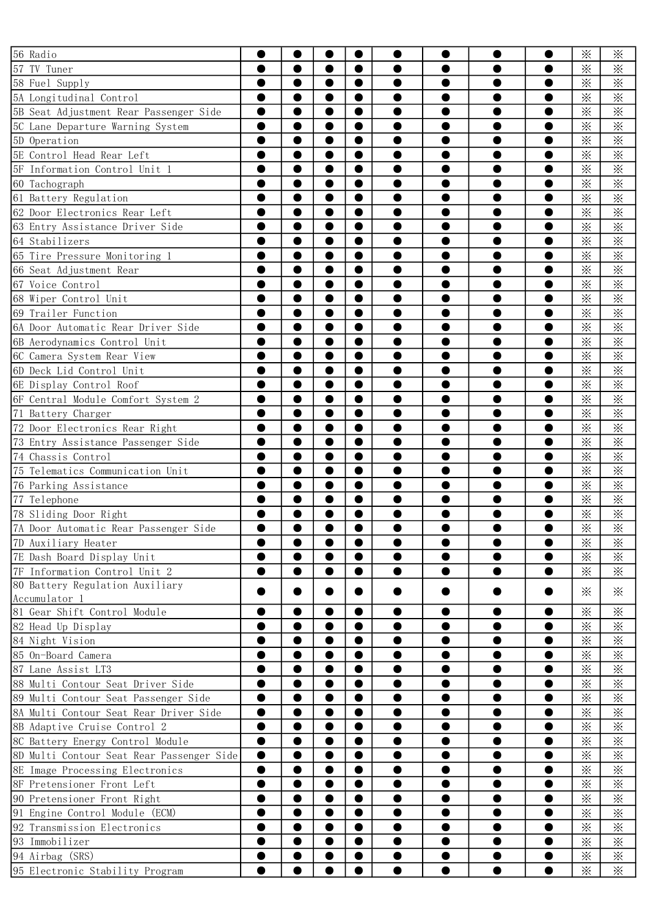| 56 Radio                                  |           |           |           | $\bullet$ |           |           |           |           | $\times$        | $\times$ |
|-------------------------------------------|-----------|-----------|-----------|-----------|-----------|-----------|-----------|-----------|-----------------|----------|
| 57 TV Tuner                               |           | $\bullet$ | ●         | $\bullet$ | ●         |           | e         |           | $\times$        | $\times$ |
| 58 Fuel Supply                            |           |           | 0         | $\bullet$ |           |           | e         |           | $\times$        | $\times$ |
| 5A Longitudinal Control                   |           |           |           | $\bullet$ |           |           |           |           | $\times$        | $\times$ |
| 5B Seat Adjustment Rear Passenger Side    |           |           |           | $\bullet$ |           |           |           |           | $\times$        | $\times$ |
| 5C Lane Departure Warning System          |           |           |           | 0         |           |           |           |           | $\times$        | $\times$ |
| 5D Operation                              | ●         | $\bullet$ | $\bullet$ | $\bullet$ | ●         |           |           |           | $\times$        | $\times$ |
| 5E Control Head Rear Left                 | ●         | $\bullet$ | 0         | $\bullet$ |           |           |           |           | $\times$        | $\times$ |
| 5F Information Control Unit 1             |           |           | ●         | $\bullet$ |           |           |           |           | $\times$        | $\times$ |
| 60 Tachograph                             |           |           |           | $\bullet$ |           |           |           |           | $\times$        | $\times$ |
| 61 Battery Regulation                     |           |           |           | 0         |           |           |           |           | $\times$        | $\times$ |
| 62 Door Electronics Rear Left             |           | $\bullet$ | ●         | $\bullet$ | ●         |           | e         |           | $\times$        | $\times$ |
| 63 Entry Assistance Driver Side           | ●         | $\bullet$ | 0         | $\bullet$ | ●         | ●         | e         |           | $\times$        | $\times$ |
| 64 Stabilizers                            |           | ●         | ●         | $\bullet$ |           |           |           |           | $\times$        | $\times$ |
| 65 Tire Pressure Monitoring 1             |           |           |           | $\bullet$ |           |           |           |           | $\times$        | $\times$ |
| 66 Seat Adjustment Rear                   |           |           | 0         | $\bullet$ |           |           |           |           | $\times$        | $\times$ |
| 67 Voice Control                          | ●         | $\bullet$ | $\bullet$ | $\bullet$ | ●         | ●         |           |           | $\times$        | $\times$ |
| 68 Wiper Control Unit                     | ●         | $\bullet$ | 0         | $\bullet$ |           |           |           |           | $\times$        | $\times$ |
| 69 Trailer Function                       |           |           |           | $\bullet$ |           |           |           |           | $\times$        | $\times$ |
| 6A Door Automatic Rear Driver Side        |           |           |           | $\bullet$ |           |           |           |           | $\times$        | $\times$ |
| 6B Aerodynamics Control Unit              |           |           |           | 0         |           |           |           |           | $\times$        | $\times$ |
| 6C Camera System Rear View                | 0         | $\bullet$ | 0         | $\bullet$ | ●         |           | e         |           | $\times$        | $\times$ |
| 6D Deck Lid Control Unit                  | ●         | $\bullet$ | 0         | $\bullet$ | ●         | ●         | 0         |           | $\times$        | $\times$ |
| 6E Display Control Roof                   |           | ●         | ●         | $\bullet$ |           |           |           |           | $\times$        | $\times$ |
| 6F Central Module Comfort System 2        |           |           |           | $\bullet$ |           |           |           |           | $\times$        | $\times$ |
| 71 Battery Charger                        |           |           | 0         | $\bullet$ |           |           |           |           | $\times$        | $\times$ |
| 72 Door Electronics Rear Right            | 0         | $\bullet$ | ●         | $\bullet$ | ●         |           |           |           | $\times$        | $\times$ |
| 73 Entry Assistance Passenger Side        | ●         | $\bullet$ | 0         | $\bullet$ |           |           |           |           | $\times$        | $\times$ |
| 74 Chassis Control                        |           |           |           | $\bullet$ |           |           |           |           | $\times$        | $\times$ |
| 75 Telematics Communication Unit          |           |           |           | $\bullet$ |           |           |           |           | $\times$        | $\times$ |
| 76 Parking Assistance                     |           |           | 0         | 0         |           |           |           |           | $\times$        | $\times$ |
| 77 Telephone                              |           | $\bullet$ | O         | 0         | ●         |           |           |           | $\times$        | $\times$ |
| 78 Sliding Door Right                     |           |           |           |           |           |           |           |           | $\times$        | $\times$ |
| 7A Door Automatic Rear Passenger Side     |           |           |           |           |           |           |           |           | $\times$        | $\times$ |
| 7D Auxiliary Heater                       |           |           | 0         | $\bullet$ |           |           |           |           | $\times$        | $\times$ |
| 7E Dash Board Display Unit                |           | $\bullet$ | $\bullet$ | $\bullet$ | ●         |           |           |           | $\times$        | $\times$ |
| 7F Information Control Unit 2             | ●         | $\bullet$ | $\bullet$ | $\bullet$ | ●         |           |           | ●         | $\times$        | $\times$ |
| 80 Battery Regulation Auxiliary           |           |           |           |           |           |           |           |           |                 |          |
| Accumulator 1                             |           |           |           |           |           |           |           |           | $\ddot{\times}$ | $\times$ |
| 81 Gear Shift Control Module              | ●         | $\bullet$ | ●         | $\bullet$ |           | ●         |           |           | $\times$        | $\times$ |
| 82 Head Up Display                        |           | $\bullet$ | ●         | $\bullet$ | 0         |           |           | D         | $\times$        | $\times$ |
| 84 Night Vision                           |           | $\bullet$ |           | $\bullet$ |           |           |           |           | $\times$        | $\times$ |
| 85 On-Board Camera                        |           | $\bullet$ | $\bullet$ | $\bullet$ | 0         |           | $\bullet$ |           | $\times$        | $\times$ |
| 87 Lane Assist LT3                        |           | $\bullet$ | $\bullet$ | $\bullet$ | ●         | ●         | ●         | $\bullet$ | $\times$        | $\times$ |
| 88 Multi Contour Seat Driver Side         | ●         | $\bullet$ | $\bullet$ | $\bullet$ |           | ●         | ●         |           | $\times$        | $\times$ |
| 89 Multi Contour Seat Passenger Side      |           | $\bullet$ | $\bullet$ | $\bullet$ |           |           |           | D         | $\times$        | $\times$ |
| 8A Multi Contour Seat Rear Driver Side    |           | $\bullet$ |           | $\bullet$ |           |           |           |           | $\times$        | $\times$ |
| 8B Adaptive Cruise Control 2              |           | $\bullet$ | $\bullet$ | $\bullet$ |           |           | $\bullet$ |           | $\times$        | $\times$ |
| 8C Battery Energy Control Module          | ●         | $\bullet$ | $\bullet$ | $\bullet$ |           |           | ●         | $\bullet$ | $\times$        | $\times$ |
| 8D Multi Contour Seat Rear Passenger Side | $\bullet$ | $\bullet$ | $\bullet$ | $\bullet$ | ●         | ●         | ●         |           | $\times$        | $\times$ |
| 8E Image Processing Electronics           | $\bullet$ | $\bullet$ | $\bullet$ | $\bullet$ | ●         |           | 0         | Ð         | $\times$        | $\times$ |
| 8F Pretensioner Front Left                |           | $\bullet$ | ●         | $\bullet$ |           |           |           |           | $\times$        | $\times$ |
| 90 Pretensioner Front Right               | ●         | $\bullet$ | $\bullet$ | $\bullet$ | $\bullet$ | $\bullet$ | $\bullet$ | $\bullet$ | $\times$        | $\times$ |
| 91 Engine Control Module (ECM)            |           | $\bullet$ | $\bullet$ | $\bullet$ | ●         | ●         | ●         | $\bullet$ | $\times$        | $\times$ |
| 92 Transmission Electronics               |           | $\bullet$ | $\bullet$ | $\bullet$ |           |           |           |           | $\times$        | $\times$ |
| 93 Immobilizer                            |           | $\bullet$ | $\bullet$ | $\bullet$ |           |           |           | Ð         | $\times$        | $\times$ |
| 94 Airbag (SRS)                           |           | $\bullet$ | 0         | $\bullet$ |           |           |           |           | $\times$        | $\times$ |
| 95 Electronic Stability Program           | ●         |           |           |           | $\bullet$ |           | ●         |           | $\times$        | $\times$ |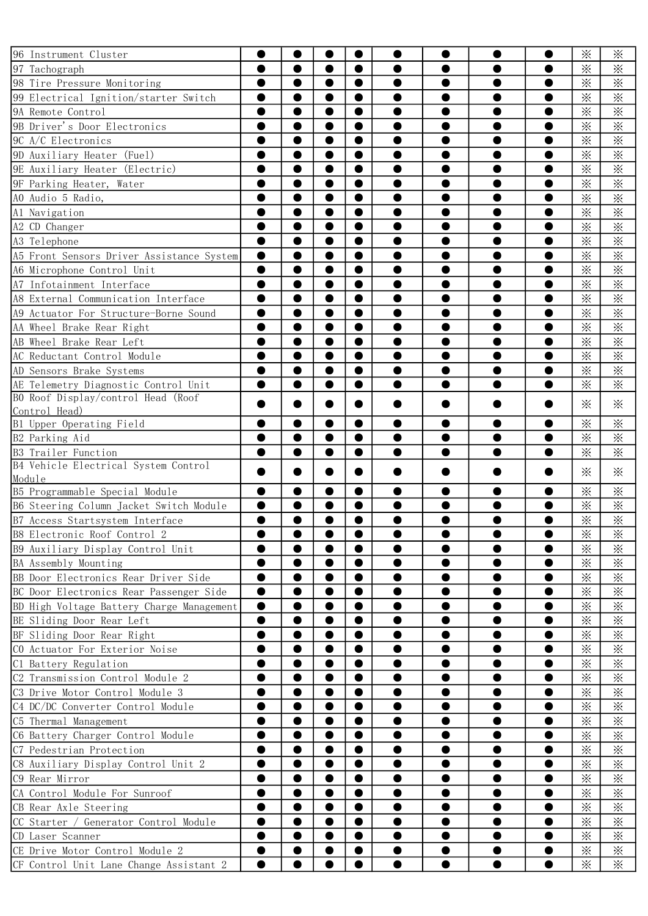| 96 Instrument Cluster                          |                                                                                                                                                                                                                                                                                                                                                                                                                                                                                                                                                                                                                                                                                                                                                                                                                                                                                                                                                                                                                                                                                                                                                                                                 |           |           |                  |  |   |   | $\times$        | $\times$                |
|------------------------------------------------|-------------------------------------------------------------------------------------------------------------------------------------------------------------------------------------------------------------------------------------------------------------------------------------------------------------------------------------------------------------------------------------------------------------------------------------------------------------------------------------------------------------------------------------------------------------------------------------------------------------------------------------------------------------------------------------------------------------------------------------------------------------------------------------------------------------------------------------------------------------------------------------------------------------------------------------------------------------------------------------------------------------------------------------------------------------------------------------------------------------------------------------------------------------------------------------------------|-----------|-----------|------------------|--|---|---|-----------------|-------------------------|
| 97 Tachograph                                  |                                                                                                                                                                                                                                                                                                                                                                                                                                                                                                                                                                                                                                                                                                                                                                                                                                                                                                                                                                                                                                                                                                                                                                                                 |           |           | 0                |  |   |   | $\times$        | $\times$                |
| 98 Tire Pressure Monitoring                    |                                                                                                                                                                                                                                                                                                                                                                                                                                                                                                                                                                                                                                                                                                                                                                                                                                                                                                                                                                                                                                                                                                                                                                                                 |           | ●         | $\bullet$        |  |   |   | $\times$        | $\times$                |
| 99 Electrical Ignition/starter Switch          |                                                                                                                                                                                                                                                                                                                                                                                                                                                                                                                                                                                                                                                                                                                                                                                                                                                                                                                                                                                                                                                                                                                                                                                                 |           | ●         | $\bullet$        |  |   |   | $\times$        | $\times$                |
| 9A Remote Control                              |                                                                                                                                                                                                                                                                                                                                                                                                                                                                                                                                                                                                                                                                                                                                                                                                                                                                                                                                                                                                                                                                                                                                                                                                 |           |           |                  |  |   |   | $\times$        | $\ddot{\times}$         |
| 9B Driver's Door Electronics                   |                                                                                                                                                                                                                                                                                                                                                                                                                                                                                                                                                                                                                                                                                                                                                                                                                                                                                                                                                                                                                                                                                                                                                                                                 |           |           |                  |  |   |   | ⋇               | $\overline{\mathbf{x}}$ |
| 9C A/C Electronics                             |                                                                                                                                                                                                                                                                                                                                                                                                                                                                                                                                                                                                                                                                                                                                                                                                                                                                                                                                                                                                                                                                                                                                                                                                 |           | 0         | 0                |  |   |   | $\times$        | $\times$                |
| 9D Auxiliary Heater (Fuel)                     |                                                                                                                                                                                                                                                                                                                                                                                                                                                                                                                                                                                                                                                                                                                                                                                                                                                                                                                                                                                                                                                                                                                                                                                                 |           | 0         | $\bullet$        |  |   |   | $\times$        | $\times$                |
| 9E Auxiliary Heater (Electric)                 |                                                                                                                                                                                                                                                                                                                                                                                                                                                                                                                                                                                                                                                                                                                                                                                                                                                                                                                                                                                                                                                                                                                                                                                                 |           | ●         | $\bullet$        |  |   |   | $\times$        | $\times$                |
| 9F Parking Heater, Water                       |                                                                                                                                                                                                                                                                                                                                                                                                                                                                                                                                                                                                                                                                                                                                                                                                                                                                                                                                                                                                                                                                                                                                                                                                 |           |           |                  |  |   |   | $\times$        | $\ddot{\times}$         |
| AO Audio 5 Radio,                              |                                                                                                                                                                                                                                                                                                                                                                                                                                                                                                                                                                                                                                                                                                                                                                                                                                                                                                                                                                                                                                                                                                                                                                                                 |           |           | ●                |  |   |   | $\times$        | $\ddot{\times}$         |
| Al Navigation                                  |                                                                                                                                                                                                                                                                                                                                                                                                                                                                                                                                                                                                                                                                                                                                                                                                                                                                                                                                                                                                                                                                                                                                                                                                 |           | 0         | $\bullet$        |  |   |   | $\times$        | $\times$                |
| A2 CD Changer                                  |                                                                                                                                                                                                                                                                                                                                                                                                                                                                                                                                                                                                                                                                                                                                                                                                                                                                                                                                                                                                                                                                                                                                                                                                 |           | 0         | $\bullet$        |  |   |   | $\times$        | $\times$                |
| A3 Telephone                                   |                                                                                                                                                                                                                                                                                                                                                                                                                                                                                                                                                                                                                                                                                                                                                                                                                                                                                                                                                                                                                                                                                                                                                                                                 |           | ●         | $\bullet$        |  |   |   | $\times$        | $\times$                |
| A5 Front Sensors Driver Assistance System      |                                                                                                                                                                                                                                                                                                                                                                                                                                                                                                                                                                                                                                                                                                                                                                                                                                                                                                                                                                                                                                                                                                                                                                                                 |           |           |                  |  |   |   | $\times$        | $\overline{\mathbf{x}}$ |
| A6 Microphone Control Unit                     |                                                                                                                                                                                                                                                                                                                                                                                                                                                                                                                                                                                                                                                                                                                                                                                                                                                                                                                                                                                                                                                                                                                                                                                                 |           |           | ●                |  |   |   | $\times$        | $\ddot{\times}$         |
| A7 Infotainment Interface                      | 0                                                                                                                                                                                                                                                                                                                                                                                                                                                                                                                                                                                                                                                                                                                                                                                                                                                                                                                                                                                                                                                                                                                                                                                               |           | $\bullet$ | 0                |  |   |   | $\times$        | $\times$                |
| A8 External Communication Interface            | ●                                                                                                                                                                                                                                                                                                                                                                                                                                                                                                                                                                                                                                                                                                                                                                                                                                                                                                                                                                                                                                                                                                                                                                                               |           | 0         | $\bullet$        |  |   |   | $\times$        | $\times$                |
| A9 Actuator For Structure-Borne Sound          | ●                                                                                                                                                                                                                                                                                                                                                                                                                                                                                                                                                                                                                                                                                                                                                                                                                                                                                                                                                                                                                                                                                                                                                                                               |           | ●         | $\bullet$        |  |   |   | $\times$        | $\times$                |
| AA Wheel Brake Rear Right                      |                                                                                                                                                                                                                                                                                                                                                                                                                                                                                                                                                                                                                                                                                                                                                                                                                                                                                                                                                                                                                                                                                                                                                                                                 |           |           | 0                |  |   |   | $\times$        | $\ddot{\times}$         |
| AB Wheel Brake Rear Left                       |                                                                                                                                                                                                                                                                                                                                                                                                                                                                                                                                                                                                                                                                                                                                                                                                                                                                                                                                                                                                                                                                                                                                                                                                 |           |           | ●                |  |   |   | $\times$        | $\ddot{\times}$         |
| AC Reductant Control Module                    |                                                                                                                                                                                                                                                                                                                                                                                                                                                                                                                                                                                                                                                                                                                                                                                                                                                                                                                                                                                                                                                                                                                                                                                                 |           | 0         | $\bullet$        |  |   |   | $\times$        | $\times$                |
| AD Sensors Brake Systems                       | ●                                                                                                                                                                                                                                                                                                                                                                                                                                                                                                                                                                                                                                                                                                                                                                                                                                                                                                                                                                                                                                                                                                                                                                                               | $\bullet$ | $\bullet$ | $\bullet$        |  | e |   | $\times$        | $\times$                |
| AE Telemetry Diagnostic Control Unit           | ●                                                                                                                                                                                                                                                                                                                                                                                                                                                                                                                                                                                                                                                                                                                                                                                                                                                                                                                                                                                                                                                                                                                                                                                               | $\bullet$ | ●         | $\bullet$        |  |   | ● | $\times$        | $\times$                |
| BO Roof Display/control Head (Roof             |                                                                                                                                                                                                                                                                                                                                                                                                                                                                                                                                                                                                                                                                                                                                                                                                                                                                                                                                                                                                                                                                                                                                                                                                 |           |           |                  |  |   |   | $\ddot{\times}$ | $\times$                |
| Control Head)                                  |                                                                                                                                                                                                                                                                                                                                                                                                                                                                                                                                                                                                                                                                                                                                                                                                                                                                                                                                                                                                                                                                                                                                                                                                 |           |           |                  |  |   |   |                 |                         |
| B1 Upper Operating Field                       |                                                                                                                                                                                                                                                                                                                                                                                                                                                                                                                                                                                                                                                                                                                                                                                                                                                                                                                                                                                                                                                                                                                                                                                                 |           |           | 0                |  |   |   | $\times$        | $\times$                |
| B2 Parking Aid                                 |                                                                                                                                                                                                                                                                                                                                                                                                                                                                                                                                                                                                                                                                                                                                                                                                                                                                                                                                                                                                                                                                                                                                                                                                 |           |           |                  |  |   |   | $\times$        | $\times$                |
| B3 Trailer Function                            |                                                                                                                                                                                                                                                                                                                                                                                                                                                                                                                                                                                                                                                                                                                                                                                                                                                                                                                                                                                                                                                                                                                                                                                                 |           |           | $\bullet$        |  |   |   | $\ddot{\times}$ | $\times$                |
| B4 Vehicle Electrical System Control<br>Module |                                                                                                                                                                                                                                                                                                                                                                                                                                                                                                                                                                                                                                                                                                                                                                                                                                                                                                                                                                                                                                                                                                                                                                                                 |           |           |                  |  |   |   | $\mathbb{X}$    | ⋇                       |
| B5 Programmable Special Module                 |                                                                                                                                                                                                                                                                                                                                                                                                                                                                                                                                                                                                                                                                                                                                                                                                                                                                                                                                                                                                                                                                                                                                                                                                 |           |           |                  |  |   |   | $\times$        | $\times$                |
| B6 Steering Column Jacket Switch Module        |                                                                                                                                                                                                                                                                                                                                                                                                                                                                                                                                                                                                                                                                                                                                                                                                                                                                                                                                                                                                                                                                                                                                                                                                 |           |           |                  |  |   |   | $\times$        | $\times$                |
| B7 Access Startsystem Interface                | $\bullet$                                                                                                                                                                                                                                                                                                                                                                                                                                                                                                                                                                                                                                                                                                                                                                                                                                                                                                                                                                                                                                                                                                                                                                                       |           | $\bullet$ | $\bullet$        |  |   |   | $\times$        | $\times$                |
| B8 Electronic Roof Control 2                   |                                                                                                                                                                                                                                                                                                                                                                                                                                                                                                                                                                                                                                                                                                                                                                                                                                                                                                                                                                                                                                                                                                                                                                                                 |           | $\bullet$ | $\blacktriangle$ |  |   |   |                 |                         |
| B9 Auxiliary Display Control Unit              |                                                                                                                                                                                                                                                                                                                                                                                                                                                                                                                                                                                                                                                                                                                                                                                                                                                                                                                                                                                                                                                                                                                                                                                                 |           |           |                  |  |   |   |                 |                         |
| BA Assembly Mounting                           | $\times$<br>$\times$<br>$\bullet$<br>0<br>$\times$<br>$\times$<br>$\bullet$<br>$\bullet$<br>$\bullet$<br>$\bullet$<br>●<br>0<br>$\bullet$<br>$\times$<br>$\times$<br>$\bullet$<br>$\bullet$<br>$\bullet$<br>●<br>0<br>$\times$<br>$\times$<br>$\bullet$<br>$\bullet$<br>●<br>●<br>$\times$<br>$\times$<br>$\bullet$<br>0<br>0<br>$\times$<br>$\times$<br>$\bullet$<br>$\times$<br>$\times$<br>$\bullet$<br>$\bullet$<br>0<br>0<br>0<br>$\bullet$<br>$\times$<br>$\times$<br>$\bullet$<br>$\bullet$<br>$\bullet$<br>$\times$<br>$\times$<br>$\bullet$<br>●<br>●<br>$\times$<br>$\times$<br>$\bullet$<br>$\times$<br>$\times$<br>$\bullet$<br>$\times$<br>$\times$<br>$\bullet$<br>$\bullet$<br>0<br>0<br>●<br>●<br>$\times$<br>$\times$<br>$\bullet$<br>●<br>$\bullet$<br>0<br>●<br>$\times$<br>$\bullet$<br>$\times$<br>●<br>●<br>$\times$<br>$\times$<br>$\bullet$<br>$\bullet$<br>$\times$<br>$\times$<br>$\bullet$<br>0<br>$\times$<br>$\times$<br>$\bullet$<br>$\bullet$<br>0<br>0<br>$\bullet$<br>$\bullet$<br>$\bullet$<br>$\times$<br>$\times$<br>$\bullet$<br>●<br>$\bullet$<br>$\bullet$<br>0<br>0<br>$\bullet$<br>$\times$<br>$\times$<br>●<br>●<br>$\times$<br>$\times$<br>$\bullet$ |           |           |                  |  |   |   |                 |                         |
| BB Door Electronics Rear Driver Side           | ፠<br>$\times$<br>$\bullet$<br>$\times$<br>$\times$<br>●                                                                                                                                                                                                                                                                                                                                                                                                                                                                                                                                                                                                                                                                                                                                                                                                                                                                                                                                                                                                                                                                                                                                         |           |           |                  |  |   |   |                 |                         |
| BC Door Electronics Rear Passenger Side        |                                                                                                                                                                                                                                                                                                                                                                                                                                                                                                                                                                                                                                                                                                                                                                                                                                                                                                                                                                                                                                                                                                                                                                                                 |           |           |                  |  |   |   |                 |                         |
| BD High Voltage Battery Charge Management      |                                                                                                                                                                                                                                                                                                                                                                                                                                                                                                                                                                                                                                                                                                                                                                                                                                                                                                                                                                                                                                                                                                                                                                                                 |           |           |                  |  |   |   |                 |                         |
| BE Sliding Door Rear Left                      |                                                                                                                                                                                                                                                                                                                                                                                                                                                                                                                                                                                                                                                                                                                                                                                                                                                                                                                                                                                                                                                                                                                                                                                                 |           |           |                  |  |   |   |                 |                         |
| BF Sliding Door Rear Right                     | $\overline{\mathbf{X}}$<br>$\frac{1}{2}$                                                                                                                                                                                                                                                                                                                                                                                                                                                                                                                                                                                                                                                                                                                                                                                                                                                                                                                                                                                                                                                                                                                                                        |           |           |                  |  |   |   |                 |                         |
| CO Actuator For Exterior Noise                 |                                                                                                                                                                                                                                                                                                                                                                                                                                                                                                                                                                                                                                                                                                                                                                                                                                                                                                                                                                                                                                                                                                                                                                                                 |           |           |                  |  |   |   |                 |                         |
| C1 Battery Regulation                          |                                                                                                                                                                                                                                                                                                                                                                                                                                                                                                                                                                                                                                                                                                                                                                                                                                                                                                                                                                                                                                                                                                                                                                                                 |           |           |                  |  |   |   |                 |                         |
| C2 Transmission Control Module 2               |                                                                                                                                                                                                                                                                                                                                                                                                                                                                                                                                                                                                                                                                                                                                                                                                                                                                                                                                                                                                                                                                                                                                                                                                 |           |           |                  |  |   |   |                 |                         |
| C3 Drive Motor Control Module 3                |                                                                                                                                                                                                                                                                                                                                                                                                                                                                                                                                                                                                                                                                                                                                                                                                                                                                                                                                                                                                                                                                                                                                                                                                 |           |           |                  |  |   |   |                 |                         |
| C4 DC/DC Converter Control Module              |                                                                                                                                                                                                                                                                                                                                                                                                                                                                                                                                                                                                                                                                                                                                                                                                                                                                                                                                                                                                                                                                                                                                                                                                 |           |           |                  |  |   |   |                 |                         |
| C5 Thermal Management                          |                                                                                                                                                                                                                                                                                                                                                                                                                                                                                                                                                                                                                                                                                                                                                                                                                                                                                                                                                                                                                                                                                                                                                                                                 |           |           |                  |  |   |   |                 |                         |
| C6 Battery Charger Control Module              |                                                                                                                                                                                                                                                                                                                                                                                                                                                                                                                                                                                                                                                                                                                                                                                                                                                                                                                                                                                                                                                                                                                                                                                                 |           |           |                  |  |   |   |                 |                         |
| C7 Pedestrian Protection                       |                                                                                                                                                                                                                                                                                                                                                                                                                                                                                                                                                                                                                                                                                                                                                                                                                                                                                                                                                                                                                                                                                                                                                                                                 |           |           |                  |  |   |   |                 |                         |
| C8 Auxiliary Display Control Unit 2            |                                                                                                                                                                                                                                                                                                                                                                                                                                                                                                                                                                                                                                                                                                                                                                                                                                                                                                                                                                                                                                                                                                                                                                                                 |           |           |                  |  |   |   |                 |                         |
| C9 Rear Mirror                                 |                                                                                                                                                                                                                                                                                                                                                                                                                                                                                                                                                                                                                                                                                                                                                                                                                                                                                                                                                                                                                                                                                                                                                                                                 |           |           |                  |  |   |   |                 |                         |
| CA Control Module For Sunroof                  |                                                                                                                                                                                                                                                                                                                                                                                                                                                                                                                                                                                                                                                                                                                                                                                                                                                                                                                                                                                                                                                                                                                                                                                                 |           |           |                  |  |   |   |                 |                         |
| CB Rear Axle Steering                          |                                                                                                                                                                                                                                                                                                                                                                                                                                                                                                                                                                                                                                                                                                                                                                                                                                                                                                                                                                                                                                                                                                                                                                                                 |           |           |                  |  |   |   |                 |                         |
| CC Starter / Generator Control Module          |                                                                                                                                                                                                                                                                                                                                                                                                                                                                                                                                                                                                                                                                                                                                                                                                                                                                                                                                                                                                                                                                                                                                                                                                 |           |           |                  |  |   |   |                 |                         |
| CD Laser Scanner                               | $\bullet$<br>$\bullet$<br>$\times$<br>$\times$<br>$\bullet$<br>$\bullet$<br>●                                                                                                                                                                                                                                                                                                                                                                                                                                                                                                                                                                                                                                                                                                                                                                                                                                                                                                                                                                                                                                                                                                                   |           |           |                  |  |   |   |                 |                         |
| CE Drive Motor Control Module 2                |                                                                                                                                                                                                                                                                                                                                                                                                                                                                                                                                                                                                                                                                                                                                                                                                                                                                                                                                                                                                                                                                                                                                                                                                 |           |           |                  |  |   |   |                 |                         |
| CF Control Unit Lane Change Assistant 2        |                                                                                                                                                                                                                                                                                                                                                                                                                                                                                                                                                                                                                                                                                                                                                                                                                                                                                                                                                                                                                                                                                                                                                                                                 |           |           |                  |  |   |   |                 |                         |
|                                                |                                                                                                                                                                                                                                                                                                                                                                                                                                                                                                                                                                                                                                                                                                                                                                                                                                                                                                                                                                                                                                                                                                                                                                                                 |           |           |                  |  |   |   |                 |                         |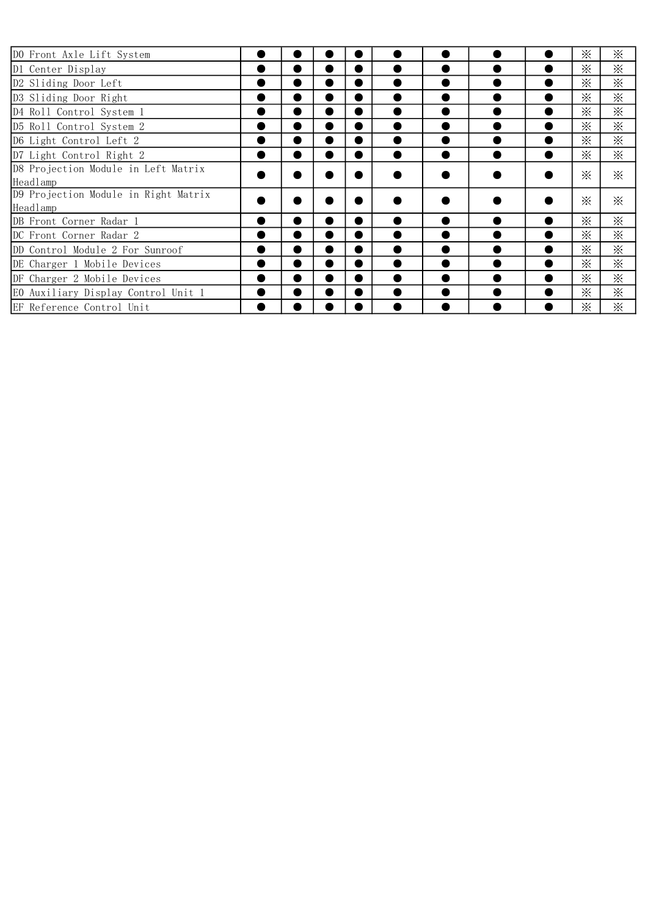| DO Front Axle Lift System                        |                |   |           |  |           | ⋇               | ⋇            |
|--------------------------------------------------|----------------|---|-----------|--|-----------|-----------------|--------------|
| D1 Center Display                                |                |   | $\bullet$ |  |           | ⋇               | ⋇            |
| D2 Sliding Door Left                             |                | D |           |  |           | ፠               | ⋇            |
| D3 Sliding Door Right                            | ٠              | D |           |  |           | $\mathbb{X}$    | ⋇            |
| D4 Roll Control System 1                         | ٠              | D |           |  |           | $\ddot{\times}$ | ⋇            |
| D5 Roll Control System 2                         | $\bullet$      | D |           |  |           | $\mathbb{X}$    | $\mathbb{X}$ |
| D6 Light Control Left 2                          | $\bullet$      | D | $\bullet$ |  |           | $\times$        | $\mathbb{X}$ |
| D7 Light Control Right 2                         | ●              | D | ●         |  |           | $\times$        | $\mathbb{X}$ |
| D8 Projection Module in Left Matrix<br>Headlamp  |                |   |           |  |           | ፠               | $\mathbb{X}$ |
| D9 Projection Module in Right Matrix<br>Headlamp |                |   |           |  |           | ⋇               | $\mathbb{X}$ |
| DB Front Corner Radar 1                          | ٠              |   |           |  |           | ፠               | $\times$     |
| DC Front Corner Radar 2                          | ٠              |   |           |  |           | ፠               | $\mathbb{X}$ |
| DD Control Module 2 For Sunroof                  | $\blacksquare$ | ٠ |           |  |           | ⋇               | $\mathbb{X}$ |
| DE Charger 1 Mobile Devices                      | $\bullet$      | D |           |  |           | ፠               | $\mathbb{X}$ |
| DF Charger 2 Mobile Devices                      | $\bullet$      | D |           |  | $\bullet$ | $\times$        | ፠            |
| EO Auxiliary Display Control Unit 1              | $\bullet$      | D |           |  |           | ፠               | ፠            |
| EF Reference Control Unit                        |                |   |           |  |           | ፠               | ፠            |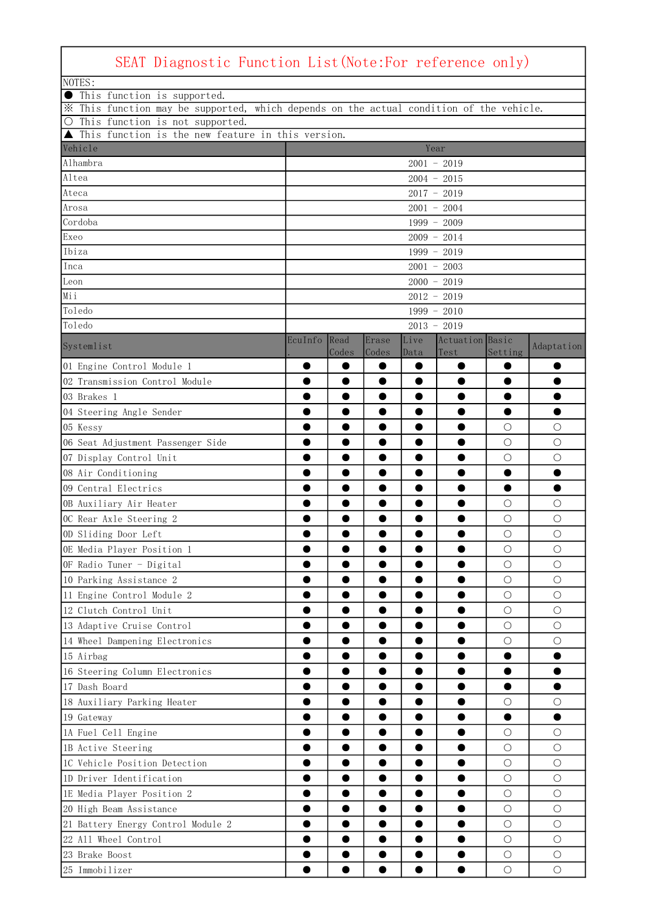| SEAT Diagnostic Function List (Note: For reference only)                                |         |               |                |              |                         |            |            |
|-----------------------------------------------------------------------------------------|---------|---------------|----------------|--------------|-------------------------|------------|------------|
| NOTES:                                                                                  |         |               |                |              |                         |            |            |
| This function is supported.                                                             |         |               |                |              |                         |            |            |
| X This function may be supported, which depends on the actual condition of the vehicle. |         |               |                |              |                         |            |            |
| O This function is not supported.                                                       |         |               |                |              |                         |            |            |
| This function is the new feature in this version.<br>Vehicle                            |         |               |                |              | Year                    |            |            |
| Alhambra                                                                                |         |               |                |              | $2001 - 2019$           |            |            |
| Altea                                                                                   |         |               |                |              | $2004 - 2015$           |            |            |
| Ateca                                                                                   |         |               |                |              | $2017 - 2019$           |            |            |
| Arosa                                                                                   |         |               |                |              | $2001 - 2004$           |            |            |
| Cordoba                                                                                 |         |               |                |              | $1999 - 2009$           |            |            |
| Exeo                                                                                    |         |               |                |              | $2009 - 2014$           |            |            |
| Ibiza                                                                                   |         |               |                |              | $1999 - 2019$           |            |            |
| Inca                                                                                    |         |               |                |              | $2001 - 2003$           |            |            |
| Leon                                                                                    |         |               |                |              | $2000 - 2019$           |            |            |
| Mii                                                                                     |         |               |                |              | $2012 - 2019$           |            |            |
| Toledo                                                                                  |         |               |                |              | $1999 - 2010$           |            |            |
| Toledo                                                                                  |         |               |                |              | $2013 - 2019$           |            |            |
| Systemlist                                                                              | EcuInfo | Read<br>Codes | Erase<br>Codes | Live<br>Data | Actuation Basic<br>Test | Setting    | Adaptation |
| 01 Engine Control Module 1                                                              |         |               |                | ●            |                         |            |            |
| 02 Transmission Control Module                                                          | 0       | $\bullet$     |                | $\bullet$    |                         | 0          | $\bullet$  |
| 03 Brakes 1                                                                             |         |               |                | 0            |                         | 0          |            |
| 04 Steering Angle Sender                                                                |         |               |                |              |                         |            |            |
| 05 Kessy                                                                                |         |               |                |              |                         | О          | О          |
| 06 Seat Adjustment Passenger Side                                                       |         |               |                | ●            |                         | $\bigcirc$ | $\bigcirc$ |
| 07 Display Control Unit                                                                 |         |               |                |              |                         | $\bigcirc$ | $\bigcirc$ |
| 08 Air Conditioning                                                                     | 0       |               |                | $\bullet$    |                         | $\bullet$  | $\bullet$  |
| 09 Central Electrics                                                                    |         |               |                | ●            |                         | ●          | ●          |
| OB Auxiliary Air Heater                                                                 |         |               |                |              |                         | О          | O          |
| OC Rear Axle Steering 2                                                                 |         |               |                | $\bullet$    |                         | $\bigcirc$ | $\bigcirc$ |
| OD Sliding Door Left                                                                    |         |               |                |              |                         | $\bigcirc$ | $\bigcirc$ |
| OE Media Player Position 1                                                              |         |               |                |              |                         | $\bigcirc$ | $\circ$    |
| OF Radio Tuner - Digital                                                                |         |               |                |              |                         | О          | O          |
| 10 Parking Assistance 2                                                                 |         |               |                |              |                         | $\bigcirc$ | O          |
| 11 Engine Control Module 2                                                              |         |               |                | D            |                         | $\bigcirc$ | $\bigcirc$ |
| 12 Clutch Control Unit                                                                  | 0       |               |                |              | 0                       | $\bigcirc$ | $\circ$    |
| 13 Adaptive Cruise Control                                                              |         |               |                |              | 0                       | $\bigcirc$ | $\bigcirc$ |
| 14 Wheel Dampening Electronics                                                          |         |               |                | D            |                         | $\bigcirc$ | $\circ$    |
| 15 Airbag                                                                               | o       |               |                | $\bullet$    | $\bullet$               | ●          | $\bullet$  |
| 16 Steering Column Electronics                                                          |         |               |                |              | 0                       |            |            |
| 17 Dash Board                                                                           |         |               |                |              |                         | 0          |            |
| 18 Auxiliary Parking Heater                                                             | 0       |               | $\bullet$      |              | 0                       | $\bigcirc$ | $\bigcirc$ |
| 19 Gateway                                                                              | D       |               |                | 0            | D                       |            |            |
| 1A Fuel Cell Engine                                                                     |         |               |                |              |                         | $\bigcirc$ | $\bigcirc$ |
| 1B Active Steering                                                                      | O       |               |                | ●            | 0                       | $\bigcirc$ | О          |
| 1C Vehicle Position Detection                                                           | D       |               |                | 0            | $\bullet$               | $\bigcirc$ | $\bigcirc$ |
| 1D Driver Identification                                                                |         |               |                |              |                         | $\bigcirc$ | $\bigcirc$ |
| 1E Media Player Position 2                                                              | 0       |               | 0              | ●            | 0                       | $\bigcirc$ | О          |
| 20 High Beam Assistance                                                                 | D       |               |                | 0            | 0                       | $\bigcirc$ | $\bigcirc$ |
| 21 Battery Energy Control Module 2                                                      |         |               |                |              |                         | $\bigcirc$ | $\circ$    |
| 22 All Wheel Control                                                                    | O       |               |                | ●            | 0                       | $\bigcirc$ | O          |
| 23 Brake Boost                                                                          | D       |               |                | $\bullet$    | 0                       | $\bigcirc$ | $\bigcirc$ |
| 25 Immobilizer                                                                          |         |               |                |              |                         | $\bigcirc$ | $\bigcirc$ |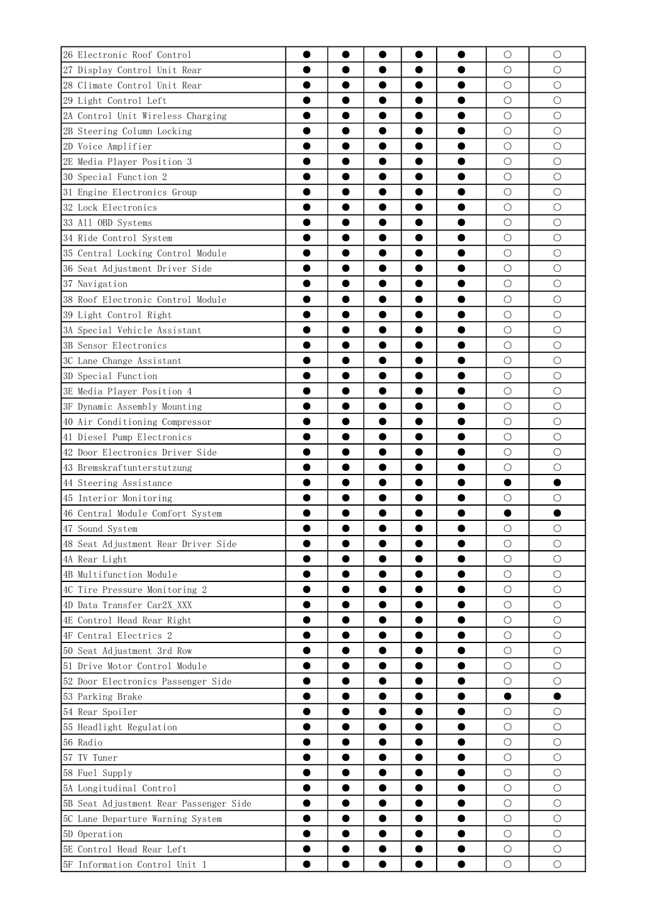| 26 Electronic Roof Control             |           |           |           |           |           | $\bigcirc$ | $\bigcirc$      |
|----------------------------------------|-----------|-----------|-----------|-----------|-----------|------------|-----------------|
| 27 Display Control Unit Rear           |           |           |           |           |           | $\bigcirc$ | О               |
| 28 Climate Control Unit Rear           |           |           |           |           |           | $\bigcirc$ | $\bigcirc$      |
| 29 Light Control Left                  | O         | O         |           |           | $\bullet$ | $\bigcirc$ | $\bigcirc$      |
| 2A Control Unit Wireless Charging      |           |           |           | ●         |           | $\bigcirc$ | $\bigcirc$      |
| 2B Steering Column Locking             |           |           |           |           |           | $\bigcirc$ | $\bigcirc$      |
| 2D Voice Amplifier                     |           |           |           | 0         |           | $\bigcirc$ | O               |
| 2E Media Player Position 3             |           |           |           | 0         |           | $\bigcirc$ | $\circ$         |
| 30 Special Function 2                  |           |           |           |           |           | $\bigcirc$ | $\bigcirc$      |
| 31 Engine Electronics Group            | O         | O         |           | $\bullet$ |           | $\bigcirc$ | $\bigcirc$      |
| 32 Lock Electronics                    |           |           |           | 0         |           | $\bigcirc$ | $\circ$         |
| 33 All OBD Systems                     |           |           |           |           |           | $\bigcirc$ | $\bigcirc$      |
| 34 Ride Control System                 | O         |           |           | $\bullet$ |           | $\bigcirc$ | O               |
| 35 Central Locking Control Module      |           |           |           | $\bullet$ |           | $\bigcirc$ | $\bigcirc$      |
| 36 Seat Adjustment Driver Side         |           |           |           |           |           | $\bigcirc$ | $\bigcirc$      |
| 37 Navigation                          | O         |           |           | $\bullet$ | 0         | $\bigcirc$ | $\bigcirc$      |
| 38 Roof Electronic Control Module      |           |           | ●         | $\bullet$ |           | $\bigcirc$ | $\bigcirc$      |
| 39 Light Control Right                 |           |           |           |           |           | $\bigcirc$ | $\bigcirc$      |
|                                        |           |           | 0         |           |           | $\bigcirc$ |                 |
| 3A Special Vehicle Assistant           |           |           | 0         | 0         | 0<br>Ð    | $\bigcirc$ | О<br>$\bigcirc$ |
| 3B Sensor Electronics                  |           |           |           | 0         |           |            |                 |
| 3C Lane Change Assistant               |           |           |           |           |           | $\bigcirc$ | $\bigcirc$      |
| 3D Special Function                    |           |           |           | 0         | 0         | $\bigcirc$ | $\bigcirc$      |
| 3E Media Player Position 4             |           |           |           | 0         |           | $\bigcirc$ | $\bigcirc$      |
| 3F Dynamic Assembly Mounting           |           |           |           |           |           | $\bigcirc$ | $\bigcirc$      |
| 40 Air Conditioning Compressor         | O         |           | 0         | 0         | 0         | $\bigcirc$ | О               |
| 41 Diesel Pump Electronics             |           |           |           | 0         |           | $\bigcirc$ | $\bigcirc$      |
| 42 Door Electronics Driver Side        |           |           |           |           |           | $\bigcirc$ | $\bigcirc$      |
| 43 Bremskraftunterstutzung             |           |           | 0         | ●         |           | $\bigcirc$ | $\bigcirc$      |
| 44 Steering Assistance                 |           |           |           | $\bullet$ |           |            | 0               |
| 45 Interior Monitoring                 |           |           |           |           |           | $\bigcirc$ | О               |
| 46 Central Module Comfort System       |           |           |           |           |           | $\bullet$  |                 |
| 47 Sound System                        |           |           |           |           |           | $\bigcirc$ | $\bigcirc$      |
| 48 Seat Adjustment Rear Driver Side    |           |           |           | $\bullet$ |           | О          | О               |
| 4A Rear Light                          | O         |           |           | 0         | 0         | $\bigcirc$ | $\bigcirc$      |
| 4B Multifunction Module                |           |           |           |           |           | $\bigcirc$ | $\bigcirc$      |
| 4C Tire Pressure Monitoring 2          |           |           |           | $\bullet$ | $\bullet$ | $\bigcirc$ | $\bigcirc$      |
| 4D Data Transfer Car2X_XXX             |           |           |           | $\bullet$ | 0         | $\bigcirc$ | $\bigcirc$      |
| 4E Control Head Rear Right             |           |           |           | 0         |           | $\bigcirc$ | $\bigcirc$      |
| 4F Central Electrics 2                 | 0         |           |           |           |           | $\bigcirc$ | $\bigcirc$      |
| 50 Seat Adjustment 3rd Row             | D         |           |           | 0         | 0         | $\bigcirc$ | $\bigcirc$      |
| 51 Drive Motor Control Module          |           |           |           | 0         | 0         | $\bigcirc$ | $\bigcirc$      |
| 52 Door Electronics Passenger Side     | O         |           |           | $\bullet$ | $\bullet$ | $\bigcirc$ | $\bigcirc$      |
| 53 Parking Brake                       |           |           |           | 0         | 0         | ●          |                 |
| 54 Rear Spoiler                        |           |           |           | 0         | 0         | $\bigcirc$ | $\bigcirc$      |
| 55 Headlight Regulation                | O         |           |           |           | $\bullet$ | $\bigcirc$ | $\bigcirc$      |
| 56 Radio                               |           |           |           | 0         |           | $\bigcirc$ | $\bigcirc$      |
| 57 TV Tuner                            |           |           |           | 0         | 0         | $\bigcirc$ | $\bigcirc$      |
| 58 Fuel Supply                         | 0         | $\bullet$ | $\bullet$ | $\bullet$ | $\bullet$ | $\bigcirc$ | $\bigcirc$      |
| 5A Longitudinal Control                |           |           |           | 0         | 0         | $\bigcirc$ | $\bigcirc$      |
| 5B Seat Adjustment Rear Passenger Side |           |           |           |           |           | $\bigcirc$ | $\bigcirc$      |
| 5C Lane Departure Warning System       | 0         |           | ۰         |           | $\bullet$ | $\bigcirc$ | $\bigcirc$      |
| 5D Operation                           | D         |           |           |           |           | $\bigcirc$ | $\bigcirc$      |
| 5E Control Head Rear Left              |           |           |           |           |           | $\bigcirc$ | $\bigcirc$      |
| 5F Information Control Unit 1          | $\bullet$ |           | ●         | $\bullet$ | $\bullet$ | $\bigcirc$ | $\bigcirc$      |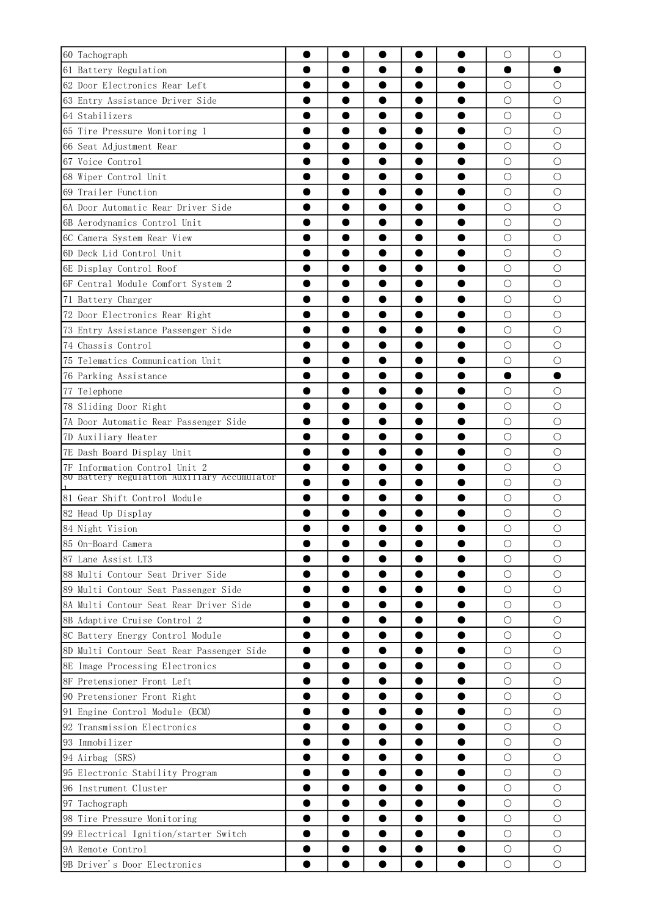| 60 Tachograph                               |           |                        |           | $\bigcirc$ | $\bigcirc$ |
|---------------------------------------------|-----------|------------------------|-----------|------------|------------|
| 61 Battery Regulation                       |           |                        |           |            |            |
| 62 Door Electronics Rear Left               |           |                        |           | $\bigcirc$ | $\bigcirc$ |
| 63 Entry Assistance Driver Side             | ●         | 0                      | ●         | $\bigcirc$ | $\bigcirc$ |
| 64 Stabilizers                              |           | 0                      |           | $\bigcirc$ | $\bigcirc$ |
| 65 Tire Pressure Monitoring 1               |           |                        |           | $\bigcirc$ | $\bigcirc$ |
| 66 Seat Adjustment Rear                     |           | 0                      |           | $\bigcirc$ | О          |
| 67 Voice Control                            |           | 0                      |           | $\bigcirc$ | $\bigcirc$ |
| 68 Wiper Control Unit                       |           |                        |           | $\bigcirc$ | $\bigcirc$ |
| 69 Trailer Function<br>O                    |           | $\bullet$<br>0         | O         | $\bigcirc$ | $\bigcirc$ |
| 6A Door Automatic Rear Driver Side          |           | 0                      |           | $\bigcirc$ | $\bigcirc$ |
| 6B Aerodynamics Control Unit                |           |                        |           | $\bigcirc$ | $\bigcirc$ |
| 6C Camera System Rear View                  |           | 0                      |           | $\bigcirc$ | О          |
| 6D Deck Lid Control Unit                    |           | 0                      |           | $\bigcirc$ | $\bigcirc$ |
| 6E Display Control Roof                     |           |                        |           | $\bigcirc$ | $\bigcirc$ |
| 6F Central Module Comfort System 2          |           | 0                      | O         | $\bigcirc$ | $\bigcirc$ |
| 71 Battery Charger                          |           | ●                      |           | $\bigcirc$ | $\bigcirc$ |
| 72 Door Electronics Rear Right              |           |                        |           | $\bigcirc$ | $\bigcirc$ |
| 73 Entry Assistance Passenger Side          |           | 0                      | O         | О          | О          |
| 74 Chassis Control                          |           | ●                      |           | $\bigcirc$ | $\bigcirc$ |
| 75 Telematics Communication Unit            |           |                        |           | $\bigcirc$ | $\bigcirc$ |
| 76 Parking Assistance                       |           | ●                      |           | $\bullet$  |            |
| 77 Telephone                                |           | 0                      |           | $\bigcirc$ | $\bigcirc$ |
| 78 Sliding Door Right                       |           |                        |           | $\bigcirc$ | $\bigcirc$ |
| 7A Door Automatic Rear Passenger Side<br>O  |           | 0                      | O         | $\bigcirc$ | $\bigcirc$ |
| 7D Auxiliary Heater                         |           | 8                      |           | $\bigcirc$ | $\bigcirc$ |
| 7E Dash Board Display Unit                  |           |                        |           | $\bigcirc$ | $\bigcirc$ |
| 7F Information Control Unit 2<br>0          |           | ●<br>●                 |           | $\bigcirc$ | $\bigcirc$ |
| 80 Battery Regulation Auxiliary Accumulator |           |                        |           | $\bigcirc$ | О          |
| 81 Gear Shift Control Module                |           |                        |           | $\bigcirc$ | О          |
| 82 Head Up Display                          |           |                        |           | $\bigcirc$ | $\bigcirc$ |
| 84 Night Vision                             |           |                        |           | $\bigcirc$ | $\bigcirc$ |
| 85 On-Board Camera                          |           |                        |           | О          | О          |
| 87 Lane Assist LT3<br>0                     |           | ●                      |           | $\bigcirc$ | $\bigcirc$ |
| 88 Multi Contour Seat Driver Side           |           |                        |           | $\bigcirc$ | $\bigcirc$ |
| 89 Multi Contour Seat Passenger Side        |           |                        | o         | $\bigcirc$ | $\bigcirc$ |
| 8A Multi Contour Seat Rear Driver Side      |           | 0                      | 0         | $\bigcirc$ | $\bigcirc$ |
| 8B Adaptive Cruise Control 2                |           | 0                      |           | $\bigcirc$ | $\bigcirc$ |
| 8C Battery Energy Control Module<br>0       |           |                        |           | $\bigcirc$ | $\bigcirc$ |
| 8D Multi Contour Seat Rear Passenger Side   |           | 0                      | 0         | $\bigcirc$ | $\bigcirc$ |
| 8E Image Processing Electronics             |           |                        |           | $\bigcirc$ | $\bigcirc$ |
| 8F Pretensioner Front Left                  |           |                        | 0         | $\bigcirc$ | $\bigcirc$ |
| 90 Pretensioner Front Right                 |           | 0                      |           | $\bigcirc$ | $\bigcirc$ |
| 91 Engine Control Module (ECM)              |           | ●                      |           | $\bigcirc$ | $\bigcirc$ |
| 92 Transmission Electronics<br>0            |           |                        | $\bullet$ | $\bigcirc$ | $\bigcirc$ |
| 93 Immobilizer                              |           |                        | 0         | $\bigcirc$ | $\bigcirc$ |
| 94 Airbag (SRS)                             |           |                        |           | $\bigcirc$ | $\bigcirc$ |
| 95 Electronic Stability Program             |           | $\bullet$              | ●         | $\bigcirc$ | $\bigcirc$ |
| 96 Instrument Cluster                       |           | 0                      |           | $\bigcirc$ | $\bigcirc$ |
| 97 Tachograph                               |           |                        |           | $\bigcirc$ | $\bigcirc$ |
| 98 Tire Pressure Monitoring<br>0            |           | $\bullet$              | 0         | $\bigcirc$ | $\bigcirc$ |
| 99 Electrical Ignition/starter Switch       |           |                        | 0         | $\bigcirc$ | $\bigcirc$ |
| 9A Remote Control                           |           |                        |           | $\bigcirc$ | $\bigcirc$ |
| 9B Driver's Door Electronics<br>$\bullet$   | $\bullet$ | $\bullet$<br>$\bullet$ | $\bullet$ | $\bigcirc$ | $\bigcirc$ |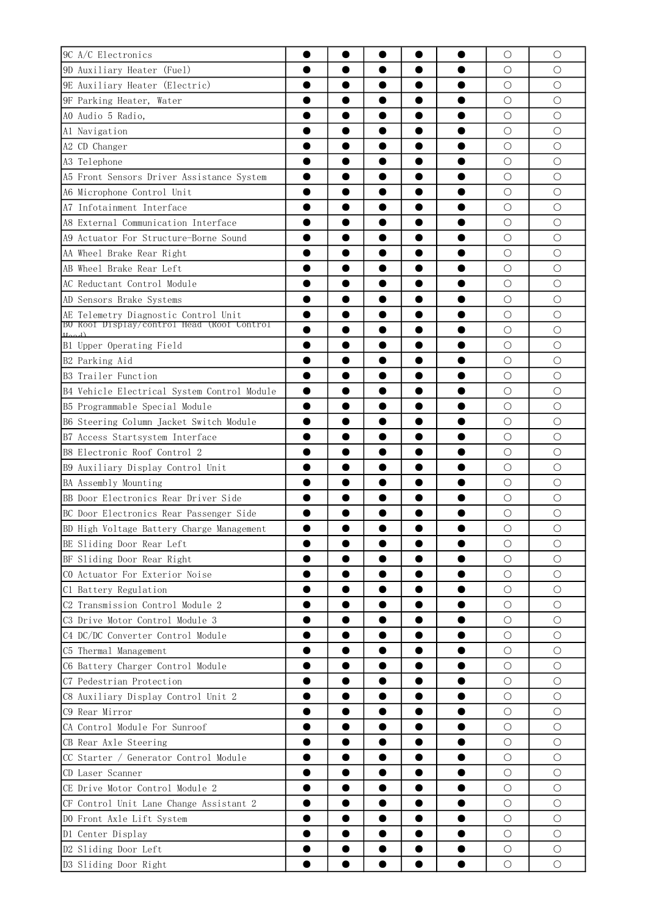| 9C A/C Electronics                                            |   |           | 0         |           | $\bigcirc$      | $\bigcirc$      |
|---------------------------------------------------------------|---|-----------|-----------|-----------|-----------------|-----------------|
| 9D Auxiliary Heater (Fuel)                                    |   |           |           |           | О               | О               |
| 9E Auxiliary Heater (Electric)                                |   |           |           |           | $\bigcirc$      | $\bigcirc$      |
| 9F Parking Heater, Water                                      |   |           | 0         | ●         | $\bigcirc$      | $\bigcirc$      |
| AO Audio 5 Radio,                                             |   |           | 0         | D         | $\bigcirc$      | $\bigcirc$      |
| Al Navigation                                                 |   |           |           |           | $\bigcirc$      | $\bigcirc$      |
| A2 CD Changer                                                 |   |           | 0         |           | $\bigcirc$      | $\bigcirc$      |
| A3 Telephone                                                  |   |           | 0         |           | $\bigcirc$      | $\bigcirc$      |
| A5 Front Sensors Driver Assistance System                     |   |           |           |           | $\bigcirc$      | $\bigcirc$      |
| A6 Microphone Control Unit                                    | 0 |           | 0         |           | $\bigcirc$      | $\bigcirc$      |
| A7 Infotainment Interface                                     |   |           | 8         |           | $\bigcirc$      | $\bigcirc$      |
| A8 External Communication Interface                           |   |           |           |           | $\bigcirc$      | $\bigcirc$      |
| A9 Actuator For Structure-Borne Sound                         |   | $\bullet$ | 0         | o         | $\bigcirc$      | O               |
| AA Wheel Brake Rear Right                                     |   |           | 0         |           | $\bigcirc$      | $\bigcirc$      |
| AB Wheel Brake Rear Left                                      |   |           |           |           | $\bigcirc$      | $\bigcirc$      |
| AC Reductant Control Module                                   |   | $\bullet$ | 0         | 0         | $\bigcirc$      | $\bigcirc$      |
| AD Sensors Brake Systems                                      |   |           | 0         |           | $\bigcirc$      | $\bigcirc$      |
| AE Telemetry Diagnostic Control Unit                          |   |           |           |           | $\bigcirc$      | $\bigcirc$      |
| BU Roof Display/control Head (Roof Control                    | 0 |           | 0         |           | $\bigcirc$      | О               |
| $H_{\alpha\alpha}$ <sub>d</sub> )<br>B1 Upper Operating Field |   |           | 0         |           | $\bigcirc$      | $\bigcirc$      |
| B2 Parking Aid                                                |   |           |           |           | $\bigcirc$      | $\bigcirc$      |
| B3 Trailer Function                                           |   | $\bullet$ | 0         | O         | $\bigcirc$      | $\bigcirc$      |
| B4 Vehicle Electrical System Control Module                   |   |           | ●         |           | $\bigcirc$      | $\bigcirc$      |
| B5 Programmable Special Module                                |   |           |           |           | $\bigcirc$      | $\bigcirc$      |
| B6 Steering Column Jacket Switch Module                       |   |           | 0         | ●         | $\bigcirc$      | О               |
| B7 Access Startsystem Interface                               |   | ●         | ●         |           | $\bigcirc$      | $\bigcirc$      |
| B8 Electronic Roof Control 2                                  |   |           |           |           | $\bigcirc$      | $\bigcirc$      |
| B9 Auxiliary Display Control Unit                             | D | $\bullet$ | $\bullet$ | O         | $\bigcirc$      | О               |
| BA Assembly Mounting                                          |   |           | ●         |           | $\bigcirc$      | $\bigcirc$      |
| BB Door Electronics Rear Driver Side                          |   |           |           |           | $\bigcirc$      | $\bigcirc$      |
|                                                               |   |           |           |           | $\bigcirc$      | $\bigcirc$      |
| BC Door Electronics Rear Passenger Side                       |   |           |           |           | $\bigcirc$      | $\bigcirc$      |
| BD High Voltage Battery Charge Management                     |   |           |           |           |                 |                 |
| BE Sliding Door Rear Left                                     |   |           |           |           | О<br>$\bigcirc$ | О<br>$\bigcirc$ |
| BF Sliding Door Rear Right                                    | ● |           | 0         | O         |                 |                 |
| CO Actuator For Exterior Noise                                |   |           | 0         | 0         | $\bigcirc$      | $\bigcirc$      |
| C1 Battery Regulation                                         |   |           |           |           | $\bigcirc$      | $\bigcirc$      |
| C2 Transmission Control Module 2                              | 0 | ●         | $\bullet$ | 0         | $\bigcirc$      | $\bigcirc$      |
| C3 Drive Motor Control Module 3                               | 0 |           | 0         | Ð         | $\bigcirc$      | $\bigcirc$      |
| C4 DC/DC Converter Control Module                             |   |           |           |           | O               | О               |
| C5 Thermal Management                                         | 0 |           | $\bullet$ | 0         | $\bigcirc$      | $\bigcirc$      |
| C6 Battery Charger Control Module                             |   |           |           |           | $\bigcirc$      | $\bigcirc$      |
| C7 Pedestrian Protection                                      |   |           | $\bullet$ | $\bullet$ | $\bigcirc$      | $\bigcirc$      |
| C8 Auxiliary Display Control Unit 2                           |   |           | $\bullet$ | 0         | $\bigcirc$      | $\bigcirc$      |
| C9 Rear Mirror                                                |   |           | 0         |           | $\bigcirc$      | $\bigcirc$      |
| CA Control Module For Sunroof                                 |   |           |           |           | $\bigcirc$      | $\bigcirc$      |
| CB Rear Axle Steering                                         |   |           | 0         | 0         | $\bigcirc$      | $\bigcirc$      |
| CC Starter / Generator Control Module                         |   |           |           |           | $\bigcirc$      | $\bigcirc$      |
| CD Laser Scanner                                              |   |           | $\bullet$ | 0         | $\bigcirc$      | $\bigcirc$      |
| CE Drive Motor Control Module 2                               | D |           | 0         | 0         | $\bigcirc$      | $\bigcirc$      |
| CF Control Unit Lane Change Assistant 2                       |   |           | 0         |           | $\bigcirc$      | О               |
| DO Front Axle Lift System                                     |   |           |           | $\bullet$ | $\bigcirc$      | $\bigcirc$      |
| D1 Center Display                                             |   |           | ●         | ●         | $\bigcirc$      | $\bigcirc$      |
| D2 Sliding Door Left                                          |   |           |           |           | $\bigcirc$      | $\bigcirc$      |
| D3 Sliding Door Right                                         | 0 |           | 0         | $\bullet$ | $\bigcirc$      | $\bigcirc$      |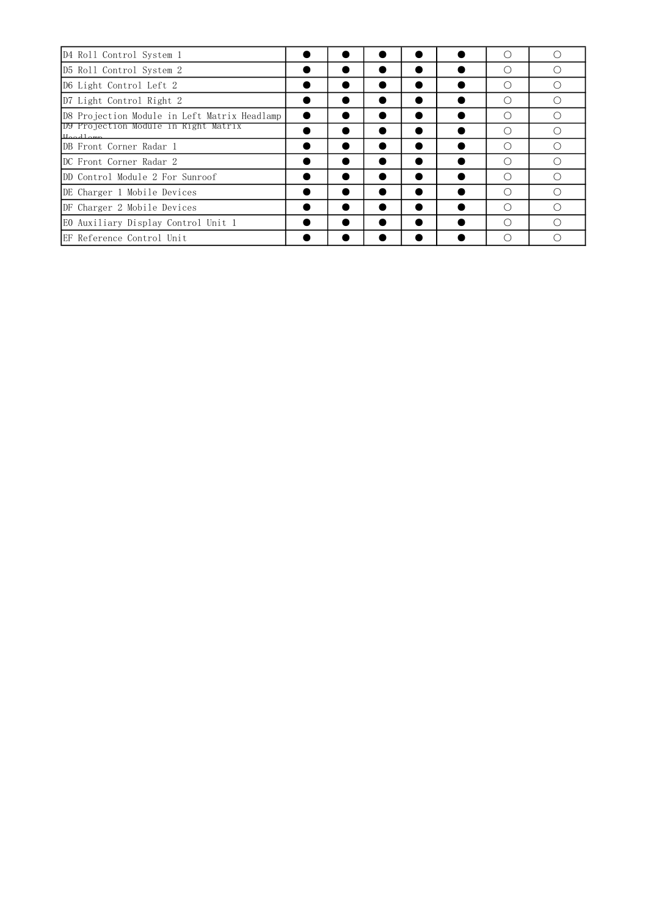| D4 Roll Control System 1                         |  |  | (         |   |
|--------------------------------------------------|--|--|-----------|---|
| D5 Roll Control System 2                         |  |  | ∩         |   |
| D6 Light Control Left 2                          |  |  | ∩         |   |
| D7 Light Control Right 2                         |  |  | ∩         |   |
| D8 Projection Module in Left Matrix Headlamp     |  |  | ∩         |   |
| DY Projection Module in Right Matrix<br>Hoodlomp |  |  | ∩         | ⊖ |
| DB Front Corner Radar 1                          |  |  | ∩         |   |
| IDC Front Corner Radar 2                         |  |  | ∩         |   |
| DD Control Module 2 For Sunroof                  |  |  | ∩         |   |
| DE Charger 1 Mobile Devices                      |  |  | $\bigcap$ |   |
| DF Charger 2 Mobile Devices                      |  |  | ∩         | ⊖ |
| EO Auxiliary Display Control Unit 1              |  |  | ∩         | ⊖ |
| EF Reference Control Unit                        |  |  | ∩         |   |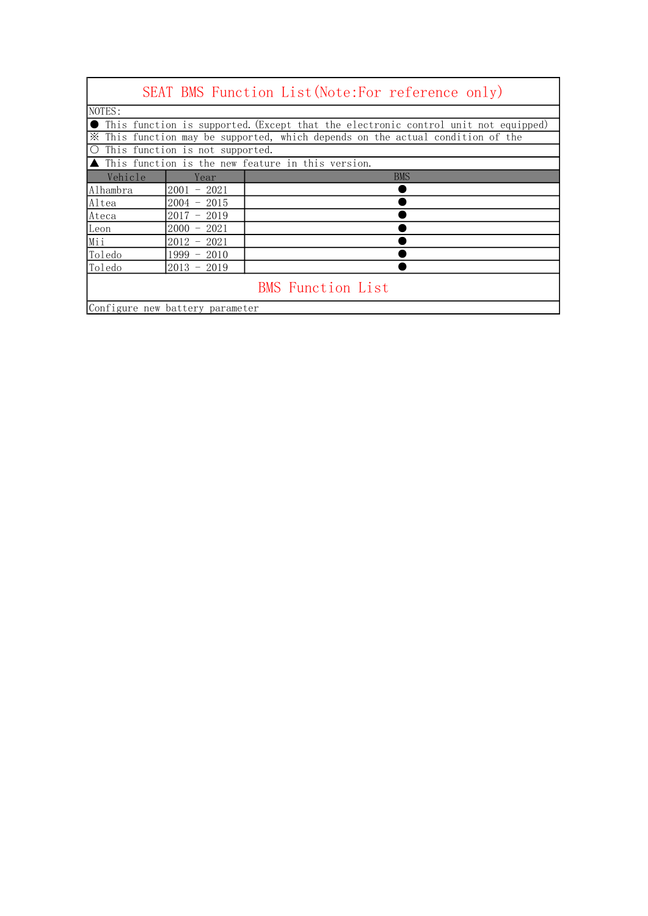|          |                                                 | SEAT BMS Function List(Note:For reference only)                                                                                                                        |
|----------|-------------------------------------------------|------------------------------------------------------------------------------------------------------------------------------------------------------------------------|
| NOTES:   |                                                 |                                                                                                                                                                        |
|          |                                                 | • This function is supported. (Except that the electronic control unit not equipped)<br>X This function may be supported, which depends on the actual condition of the |
|          | O This function is not supported.               |                                                                                                                                                                        |
|          |                                                 | $\blacktriangle$ This function is the new feature in this version.                                                                                                     |
| Vehicle  | Year                                            | <b>BMS</b>                                                                                                                                                             |
| Alhambra | $2001 - 2021$                                   |                                                                                                                                                                        |
| Altea    | $2004 - 2015$                                   |                                                                                                                                                                        |
| Ateca    | 2019<br>2017<br>$\hspace{0.1mm}-\hspace{0.1mm}$ |                                                                                                                                                                        |
| Leon     | -2021<br>$2000 -$                               |                                                                                                                                                                        |
| Mii      | $2012 -$<br>2021                                |                                                                                                                                                                        |
| Toledo   | 1999 - 2010                                     |                                                                                                                                                                        |
| Toledo   | $2013 - 2019$                                   |                                                                                                                                                                        |
|          |                                                 | <b>BMS</b> Function List                                                                                                                                               |
|          | Configure new battery parameter                 |                                                                                                                                                                        |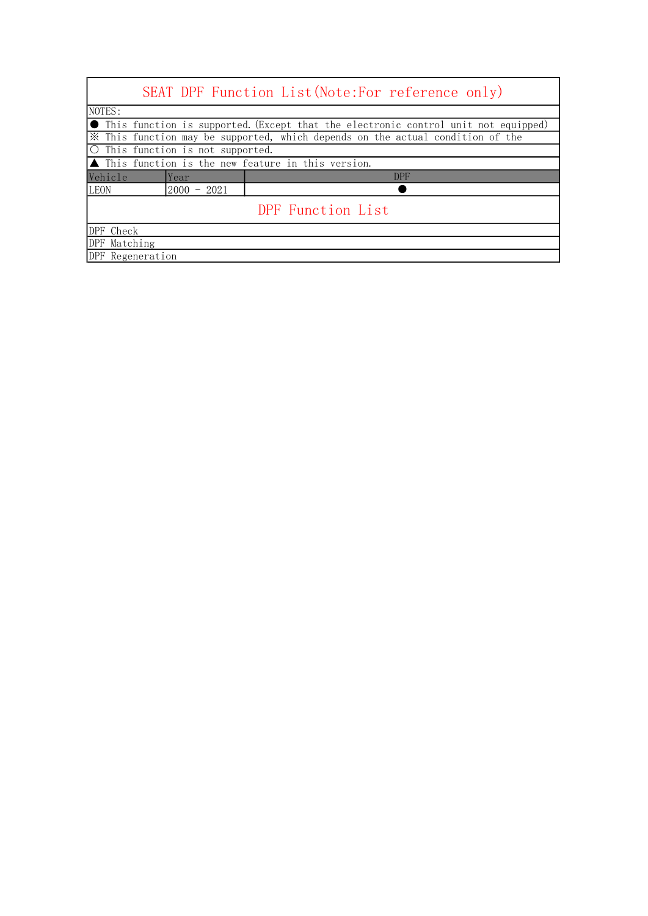|              |                                   | SEAT DPF Function List (Note: For reference only)                                            |
|--------------|-----------------------------------|----------------------------------------------------------------------------------------------|
| NOTES:       |                                   |                                                                                              |
|              |                                   | $\bullet$ This function is supported. (Except that the electronic control unit not equipped) |
|              |                                   | X This function may be supported, which depends on the actual condition of the               |
|              | O This function is not supported. |                                                                                              |
|              |                                   | $\blacktriangle$ This function is the new feature in this version.                           |
| Vehicle      | Year                              | <b>DPF</b>                                                                                   |
| <b>LEON</b>  |                                   |                                                                                              |
|              | $2000 - 2021$                     |                                                                                              |
|              |                                   | DPF Function List                                                                            |
| DPF Check    |                                   |                                                                                              |
| DPF Matching |                                   |                                                                                              |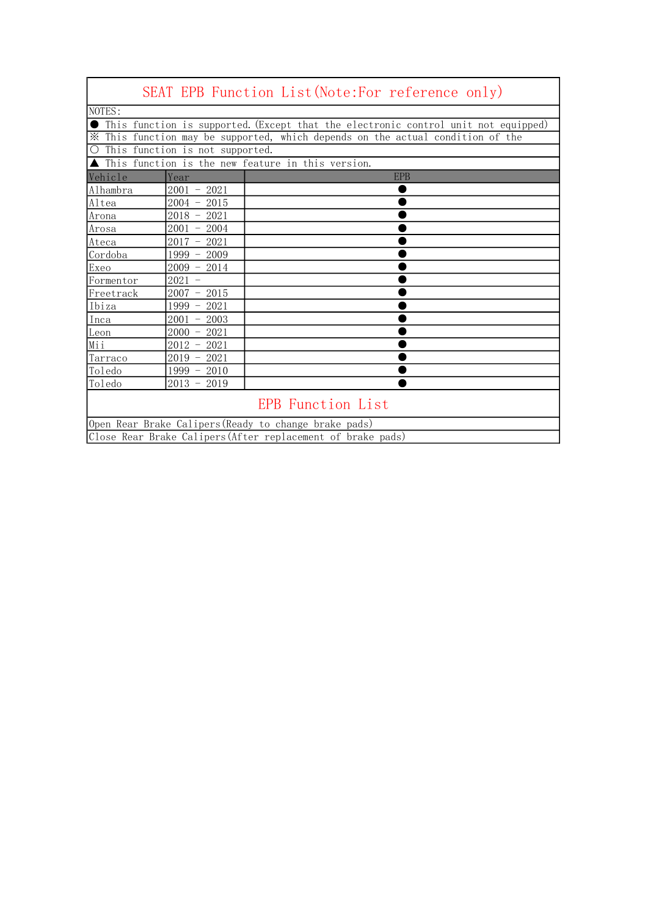|                                                       |                                 | SEAT EPB Function List (Note: For reference only)                                  |
|-------------------------------------------------------|---------------------------------|------------------------------------------------------------------------------------|
| NOTES:                                                |                                 |                                                                                    |
|                                                       |                                 | This function is supported. (Except that the electronic control unit not equipped) |
|                                                       |                                 | * This function may be supported, which depends on the actual condition of the     |
| $\bigcirc$                                            | This function is not supported. |                                                                                    |
|                                                       |                                 | ▲ This function is the new feature in this version.                                |
| Vehicle                                               | Year                            | <b>EPB</b>                                                                         |
| Alhambra                                              | $2001 - 2021$                   |                                                                                    |
| Altea                                                 | $2004 - 2015$                   |                                                                                    |
| Arona                                                 | $2018 - 2021$                   |                                                                                    |
| Arosa                                                 | $2001 - 2004$                   |                                                                                    |
| Ateca                                                 | $2017 - 2021$                   |                                                                                    |
| Cordoba                                               | $1999 - 2009$                   |                                                                                    |
| Exeo                                                  | $2009 - 2014$                   |                                                                                    |
| Formentor                                             | $2021 -$                        |                                                                                    |
| Freetrack                                             | $2007 - 2015$                   |                                                                                    |
| Ibiza                                                 | $1999 - 2021$                   |                                                                                    |
| Inca                                                  | $2001 - 2003$                   |                                                                                    |
| Leon                                                  | $2000 - 2021$                   |                                                                                    |
| Mii                                                   | $2012 - 2021$                   |                                                                                    |
| Tarraco                                               | $2019 - 2021$                   |                                                                                    |
| Toledo                                                | $1999 - 2010$                   |                                                                                    |
| Toledo                                                | $2013 - 2019$                   |                                                                                    |
|                                                       |                                 | <b>EPB Function List</b>                                                           |
| Open Rear Brake Calipers (Ready to change brake pads) |                                 |                                                                                    |
|                                                       |                                 | Close Rear Brake Calipers (After replacement of brake pads)                        |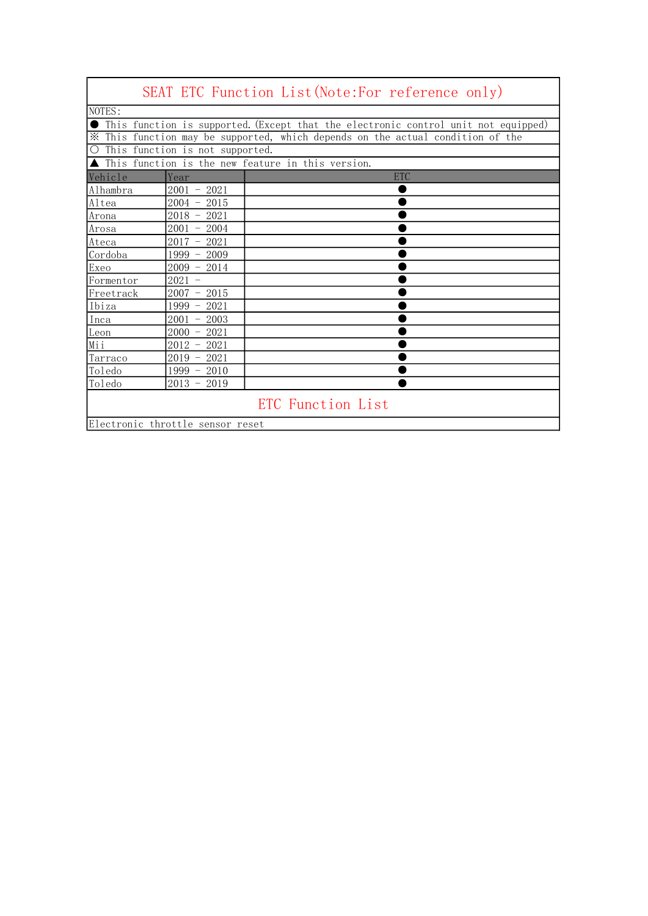|                                                                                |                                 | SEAT ETC Function List(Note:For reference only)                                    |
|--------------------------------------------------------------------------------|---------------------------------|------------------------------------------------------------------------------------|
| NOTES:                                                                         |                                 |                                                                                    |
|                                                                                |                                 | This function is supported. (Except that the electronic control unit not equipped) |
| X This function may be supported, which depends on the actual condition of the |                                 |                                                                                    |
| $\overline{O}$                                                                 | This function is not supported. |                                                                                    |
|                                                                                |                                 | ▲ This function is the new feature in this version.                                |
| Vehicle                                                                        | Year                            | <b>ETC</b>                                                                         |
| Alhambra                                                                       | $2001 - 2021$                   |                                                                                    |
| Altea                                                                          | $2004 -$<br>2015                |                                                                                    |
| Arona                                                                          | $2018 - 2021$                   |                                                                                    |
| Arosa                                                                          | $2001 - 2004$                   |                                                                                    |
| Ateca                                                                          | 2021<br>$2017 -$                |                                                                                    |
| Cordoba                                                                        | $1999 - 2009$                   |                                                                                    |
| Exeo                                                                           | $2009 - 2014$                   |                                                                                    |
| Formentor                                                                      | $2021 -$                        |                                                                                    |
| Freetrack                                                                      | $2007 - 2015$                   |                                                                                    |
| Ibiza                                                                          | $1999 - 2021$                   |                                                                                    |
| Inca                                                                           | $2001 - 2003$                   |                                                                                    |
| Lean                                                                           | $2000 - 2021$                   |                                                                                    |
| Mii                                                                            | $2012 - 2021$                   |                                                                                    |
| Tarraco                                                                        | $2019 - 2021$                   |                                                                                    |
| Toledo                                                                         | $1999 - 2010$                   |                                                                                    |
| Toledo                                                                         | $2013 - 2019$                   |                                                                                    |
|                                                                                |                                 | ETC Function List                                                                  |
| Electronic throttle sensor reset                                               |                                 |                                                                                    |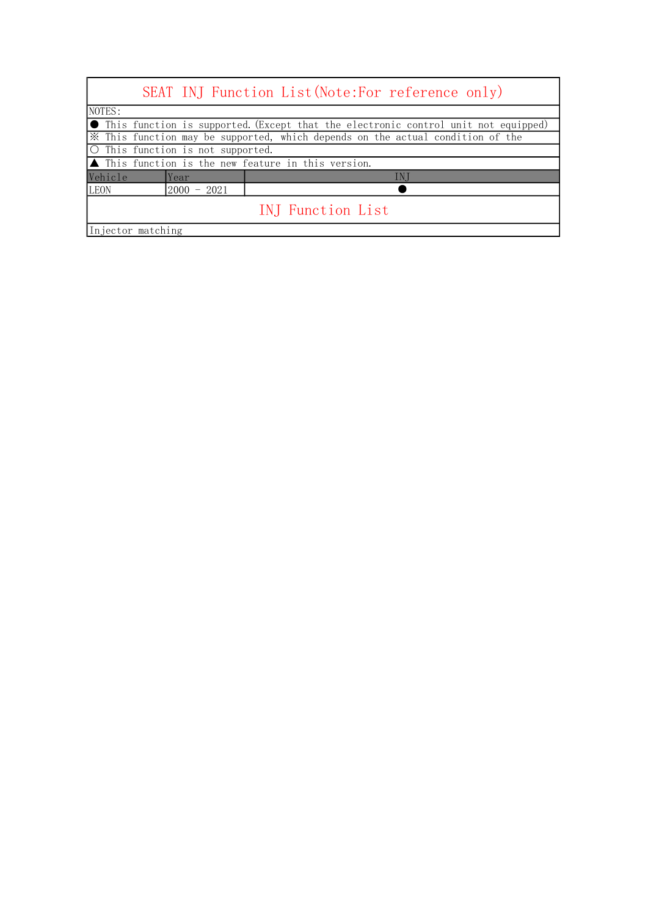|                                                                                | SEAT INJ Function List (Note: For reference only)                                    |  |
|--------------------------------------------------------------------------------|--------------------------------------------------------------------------------------|--|
| NOTES:                                                                         |                                                                                      |  |
|                                                                                | • This function is supported. (Except that the electronic control unit not equipped) |  |
| * This function may be supported, which depends on the actual condition of the |                                                                                      |  |
| ○ This function is not supported.                                              |                                                                                      |  |
| $\blacktriangle$ This function is the new feature in this version.             |                                                                                      |  |
| Vehicle<br>Year                                                                | IN <sub>J</sub>                                                                      |  |
| <b>LEON</b><br>$2000 - 2021$                                                   |                                                                                      |  |
| INJ Function List                                                              |                                                                                      |  |
| Injector matching                                                              |                                                                                      |  |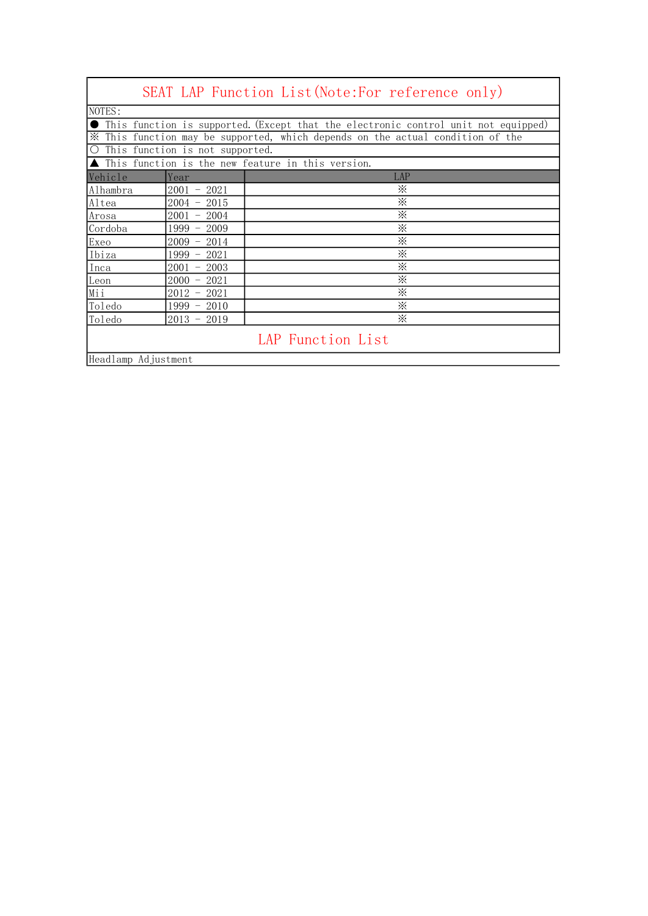|                     |                                          | SEAT LAP Function List (Note: For reference only)                                  |
|---------------------|------------------------------------------|------------------------------------------------------------------------------------|
| NOTES:              |                                          |                                                                                    |
|                     |                                          | This function is supported. (Except that the electronic control unit not equipped) |
| ⋇                   |                                          | This function may be supported, which depends on the actual condition of the       |
| $\bigcirc$          | This function is not supported.          |                                                                                    |
|                     |                                          | This function is the new feature in this version.                                  |
| Vehicle             | Year                                     | LAP                                                                                |
| Alhambra            | 2001<br>$-2021$                          | ⋇                                                                                  |
| Altea               | $2004 -$<br>2015                         | ፠                                                                                  |
| Arosa               | 2004<br>2001                             | ⋇                                                                                  |
| Cordoba             | 2009<br>1999<br>$\overline{\phantom{0}}$ | $\times$                                                                           |
| Exeo                | 2009<br>2014                             | ፠                                                                                  |
| Ibiza               | 1999<br>2021                             | ፠                                                                                  |
| Inca                | 2003<br>2001                             | ፠                                                                                  |
| Leon                | 2021<br>$2000 -$                         | ፠                                                                                  |
| Mii                 | 2012<br>2021                             | ፠                                                                                  |
| Toledo              | 1999<br>2010                             | ፠                                                                                  |
| Toledo              | 2019<br>$2013 -$                         | ፠                                                                                  |
|                     |                                          | LAP Function List                                                                  |
| Headlamp Adjustment |                                          |                                                                                    |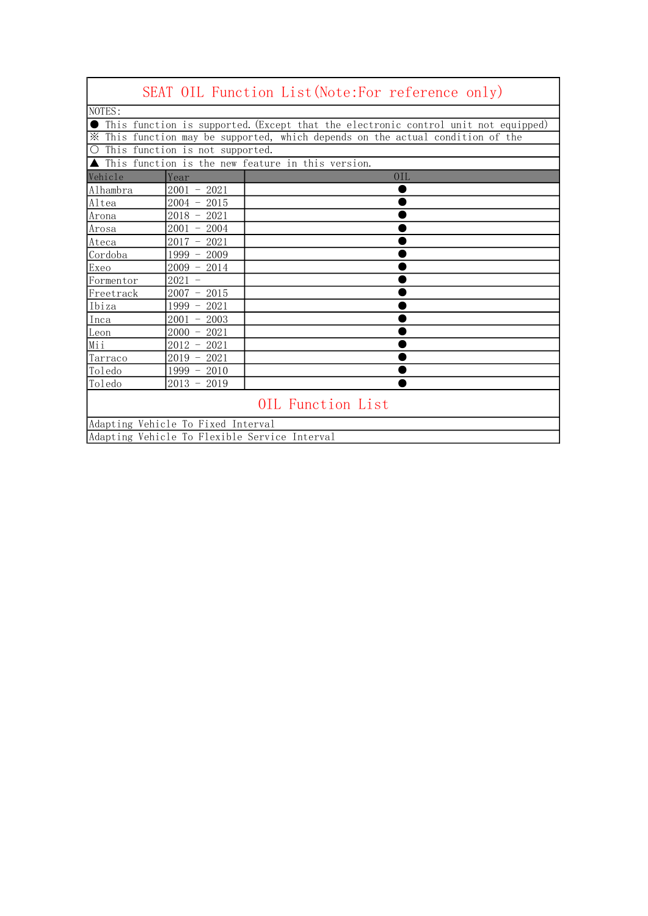|                                               |                                 | SEAT OIL Function List (Note: For reference only)                                  |
|-----------------------------------------------|---------------------------------|------------------------------------------------------------------------------------|
| NOTES:                                        |                                 |                                                                                    |
|                                               |                                 | This function is supported. (Except that the electronic control unit not equipped) |
|                                               |                                 | X This function may be supported, which depends on the actual condition of the     |
| $\bigcirc$                                    | This function is not supported. |                                                                                    |
|                                               |                                 | ▲ This function is the new feature in this version.                                |
| Vehicle                                       | Year                            | 0IL                                                                                |
| Alhambra                                      | $2001 - 2021$                   |                                                                                    |
| Altea                                         | $2004 - 2015$                   |                                                                                    |
| Arona                                         | $2018 - 2021$                   |                                                                                    |
| Arosa                                         | $2001 - 2004$                   |                                                                                    |
| Ateca                                         | $2017 - 2021$                   |                                                                                    |
| Cordoba                                       | $1999 - 2009$                   |                                                                                    |
| Exeo                                          | $2009 - 2014$                   |                                                                                    |
| Formentor                                     | $2021 -$                        |                                                                                    |
| Freetrack                                     | $2007 - 2015$                   |                                                                                    |
| Ibiza                                         | $1999 - 2021$                   |                                                                                    |
| Inca                                          | $2001 - 2003$                   |                                                                                    |
| Lean                                          | $2000 - 2021$                   |                                                                                    |
| Mii                                           | $2012 - 2021$                   |                                                                                    |
| Tarraco                                       | $2019 - 2021$                   |                                                                                    |
| Toledo                                        | $1999 - 2010$                   |                                                                                    |
| Toledo                                        | $2013 - 2019$                   |                                                                                    |
|                                               |                                 | OIL Function List                                                                  |
|                                               |                                 |                                                                                    |
| Adapting Vehicle To Fixed Interval            |                                 |                                                                                    |
| Adapting Vehicle To Flexible Service Interval |                                 |                                                                                    |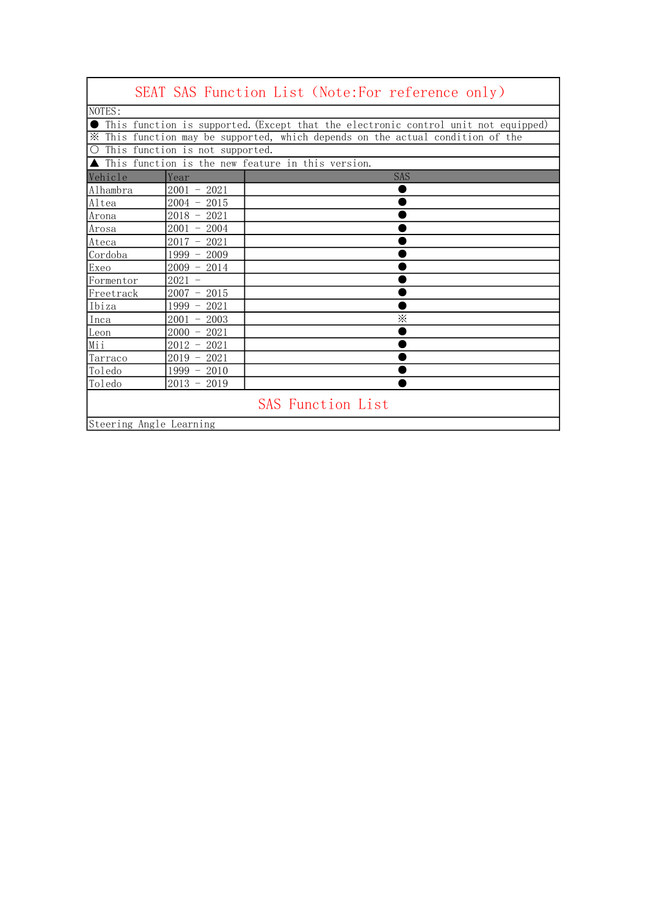|                                   |                  | SEAT SAS Function List (Note:For reference only)                                                                                                                               |
|-----------------------------------|------------------|--------------------------------------------------------------------------------------------------------------------------------------------------------------------------------|
| NOTES:                            |                  |                                                                                                                                                                                |
|                                   |                  | $\bullet$ This function is supported. (Except that the electronic control unit not equipped)<br>* This function may be supported, which depends on the actual condition of the |
| O This function is not supported. |                  |                                                                                                                                                                                |
|                                   |                  | This function is the new feature in this version.                                                                                                                              |
| Vehicle                           | Year             | <b>SAS</b>                                                                                                                                                                     |
| Alhambra                          | $2001 - 2021$    |                                                                                                                                                                                |
| Altea                             | $2004 - 2015$    |                                                                                                                                                                                |
| Arona                             | $2018 - 2021$    |                                                                                                                                                                                |
| Arosa                             | $2001 - 2004$    |                                                                                                                                                                                |
| Ateca                             | $2017 - 2021$    |                                                                                                                                                                                |
| Cordoba                           | $1999 - 2009$    |                                                                                                                                                                                |
| Exeo                              | $2009 - 2014$    |                                                                                                                                                                                |
| Formentor                         | $2021 -$         |                                                                                                                                                                                |
| Freetrack                         | $2007 - 2015$    |                                                                                                                                                                                |
| Ibiza                             | 1999 - 2021      |                                                                                                                                                                                |
| Inca                              | $2001 -$<br>2003 | ⋇                                                                                                                                                                              |
| Leon                              | $2000 - 2021$    |                                                                                                                                                                                |
| Mii                               | $2012 - 2021$    |                                                                                                                                                                                |
| Tarraco                           | $2019 - 2021$    |                                                                                                                                                                                |
| Toledo                            | $1999 - 2010$    |                                                                                                                                                                                |
| Toledo                            | $2013 - 2019$    |                                                                                                                                                                                |
| Steering Angle Learning           |                  | <b>SAS Function List</b>                                                                                                                                                       |

r